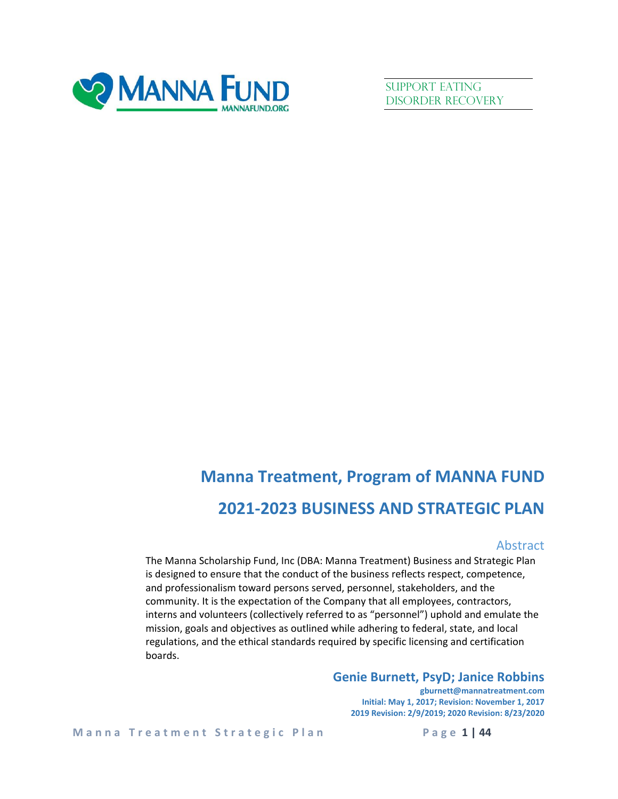

SUPPORT EATING Disorder Recovery

# **Manna Treatment, Program of MANNA FUND 2021-2023 BUSINESS AND STRATEGIC PLAN**

### Abstract

The Manna Scholarship Fund, Inc (DBA: Manna Treatment) Business and Strategic Plan is designed to ensure that the conduct of the business reflects respect, competence, and professionalism toward persons served, personnel, stakeholders, and the community. It is the expectation of the Company that all employees, contractors, interns and volunteers (collectively referred to as "personnel") uphold and emulate the mission, goals and objectives as outlined while adhering to federal, state, and local regulations, and the ethical standards required by specific licensing and certification boards.

### **Genie Burnett, PsyD; Janice Robbins**

**gburnett@mannatreatment.com Initial: May 1, 2017; Revision: November 1, 2017 2019 Revision: 2/9/2019; 2020 Revision: 8/23/2020**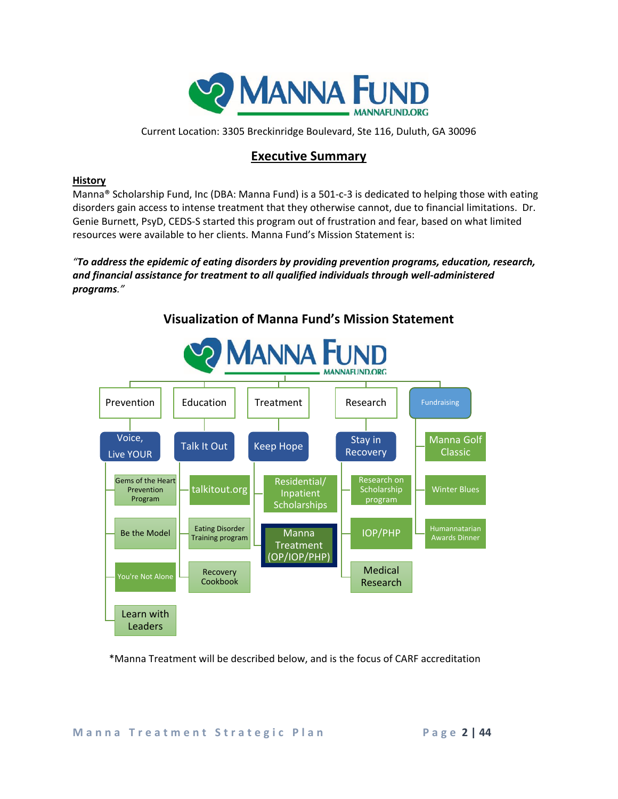

Current Location: 3305 Breckinridge Boulevard, Ste 116, Duluth, GA 30096

### **Executive Summary**

### **History**

Manna® Scholarship Fund, Inc (DBA: Manna Fund) is a 501-c-3 is dedicated to helping those with eating disorders gain access to intense treatment that they otherwise cannot, due to financial limitations. Dr. Genie Burnett, PsyD, CEDS-S started this program out of frustration and fear, based on what limited resources were available to her clients. Manna Fund's Mission Statement is:

*"To address the epidemic of eating disorders by providing prevention programs, education, research, and financial assistance for treatment to all qualified individuals through well-administered programs."*



**Visualization of Manna Fund's Mission Statement**

\*Manna Treatment will be described below, and is the focus of CARF accreditation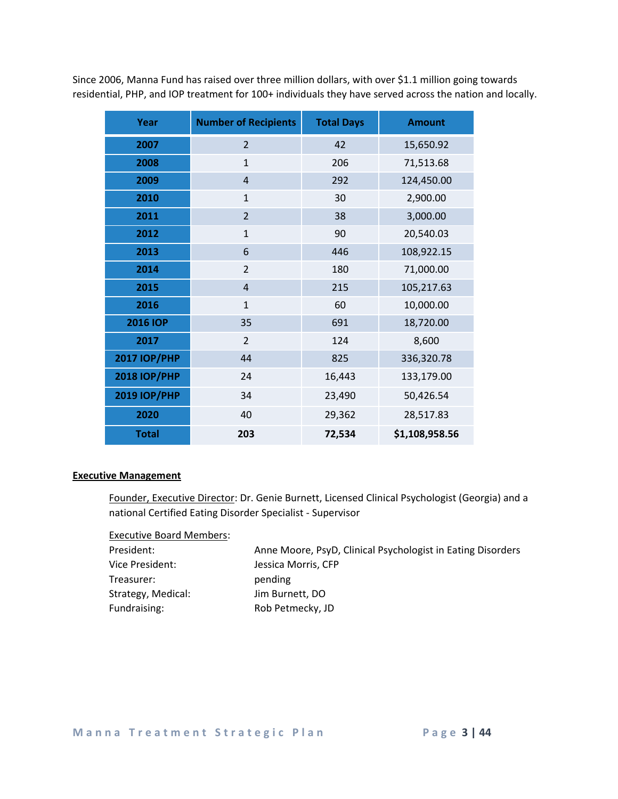Since 2006, Manna Fund has raised over three million dollars, with over \$1.1 million going towards residential, PHP, and IOP treatment for 100+ individuals they have served across the nation and locally.

| Year                | <b>Number of Recipients</b> | <b>Total Days</b> | <b>Amount</b>  |
|---------------------|-----------------------------|-------------------|----------------|
| 2007                | $\overline{2}$              | 42                | 15,650.92      |
| 2008                | $\mathbf{1}$                | 206               | 71,513.68      |
| 2009                | $\overline{4}$              | 292               | 124,450.00     |
| 2010                | $\mathbf{1}$                | 30                | 2,900.00       |
| 2011                | $\overline{2}$              | 38                | 3,000.00       |
| 2012                | $\mathbf{1}$                | 90                | 20,540.03      |
| 2013                | 6                           | 446               | 108,922.15     |
| 2014                | $\overline{2}$              | 180               | 71,000.00      |
| 2015                | $\overline{4}$              | 215               | 105,217.63     |
| 2016                | $\mathbf{1}$                | 60                | 10,000.00      |
| <b>2016 IOP</b>     | 35                          | 691               | 18,720.00      |
| 2017                | $\overline{2}$              | 124               | 8,600          |
| <b>2017 IOP/PHP</b> | 44                          | 825               | 336,320.78     |
| <b>2018 IOP/PHP</b> | 24                          | 16,443            | 133,179.00     |
| <b>2019 IOP/PHP</b> | 34                          | 23,490            | 50,426.54      |
| 2020                | 40                          | 29,362            | 28,517.83      |
| <b>Total</b>        | 203                         | 72,534            | \$1,108,958.56 |

### **Executive Management**

Founder, Executive Director: Dr. Genie Burnett, Licensed Clinical Psychologist (Georgia) and a national Certified Eating Disorder Specialist - Supervisor

Executive Board Members:

| President:         | Anne Moore, PsyD, Clinical Psychologist in Eating Disorders |
|--------------------|-------------------------------------------------------------|
| Vice President:    | Jessica Morris, CFP                                         |
| Treasurer:         | pending                                                     |
| Strategy, Medical: | Jim Burnett, DO                                             |
| Fundraising:       | Rob Petmecky, JD                                            |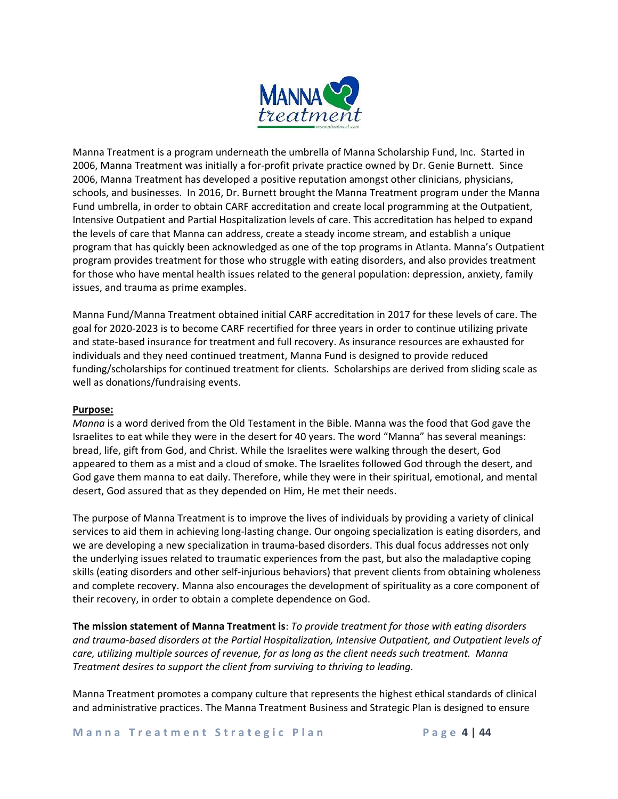

Manna Treatment is a program underneath the umbrella of Manna Scholarship Fund, Inc. Started in 2006, Manna Treatment was initially a for-profit private practice owned by Dr. Genie Burnett. Since 2006, Manna Treatment has developed a positive reputation amongst other clinicians, physicians, schools, and businesses. In 2016, Dr. Burnett brought the Manna Treatment program under the Manna Fund umbrella, in order to obtain CARF accreditation and create local programming at the Outpatient, Intensive Outpatient and Partial Hospitalization levels of care. This accreditation has helped to expand the levels of care that Manna can address, create a steady income stream, and establish a unique program that has quickly been acknowledged as one of the top programs in Atlanta. Manna's Outpatient program provides treatment for those who struggle with eating disorders, and also provides treatment for those who have mental health issues related to the general population: depression, anxiety, family issues, and trauma as prime examples.

Manna Fund/Manna Treatment obtained initial CARF accreditation in 2017 for these levels of care. The goal for 2020-2023 is to become CARF recertified for three years in order to continue utilizing private and state-based insurance for treatment and full recovery. As insurance resources are exhausted for individuals and they need continued treatment, Manna Fund is designed to provide reduced funding/scholarships for continued treatment for clients. Scholarships are derived from sliding scale as well as donations/fundraising events.

### **Purpose:**

*Manna* is a word derived from the Old Testament in the Bible. Manna was the food that God gave the Israelites to eat while they were in the desert for 40 years. The word "Manna" has several meanings: bread, life, gift from God, and Christ. While the Israelites were walking through the desert, God appeared to them as a mist and a cloud of smoke. The Israelites followed God through the desert, and God gave them manna to eat daily. Therefore, while they were in their spiritual, emotional, and mental desert, God assured that as they depended on Him, He met their needs.

The purpose of Manna Treatment is to improve the lives of individuals by providing a variety of clinical services to aid them in achieving long-lasting change. Our ongoing specialization is eating disorders, and we are developing a new specialization in trauma-based disorders. This dual focus addresses not only the underlying issues related to traumatic experiences from the past, but also the maladaptive coping skills (eating disorders and other self-injurious behaviors) that prevent clients from obtaining wholeness and complete recovery. Manna also encourages the development of spirituality as a core component of their recovery, in order to obtain a complete dependence on God.

**The mission statement of Manna Treatment is**: *To provide treatment for those with eating disorders and trauma-based disorders at the Partial Hospitalization, Intensive Outpatient, and Outpatient levels of care, utilizing multiple sources of revenue, for as long as the client needs such treatment. Manna Treatment desires to support the client from surviving to thriving to leading.* 

Manna Treatment promotes a company culture that represents the highest ethical standards of clinical and administrative practices. The Manna Treatment Business and Strategic Plan is designed to ensure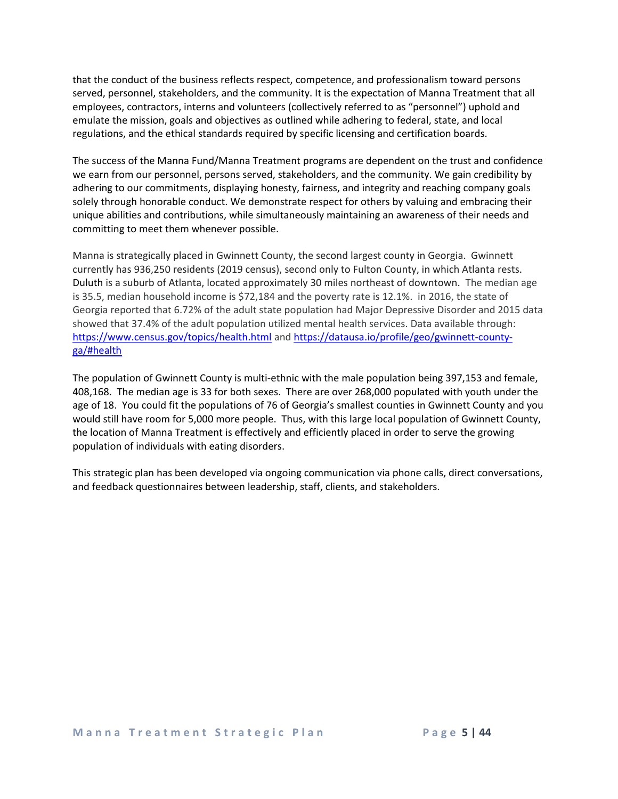that the conduct of the business reflects respect, competence, and professionalism toward persons served, personnel, stakeholders, and the community. It is the expectation of Manna Treatment that all employees, contractors, interns and volunteers (collectively referred to as "personnel") uphold and emulate the mission, goals and objectives as outlined while adhering to federal, state, and local regulations, and the ethical standards required by specific licensing and certification boards.

The success of the Manna Fund/Manna Treatment programs are dependent on the trust and confidence we earn from our personnel, persons served, stakeholders, and the community. We gain credibility by adhering to our commitments, displaying honesty, fairness, and integrity and reaching company goals solely through honorable conduct. We demonstrate respect for others by valuing and embracing their unique abilities and contributions, while simultaneously maintaining an awareness of their needs and committing to meet them whenever possible.

Manna is strategically placed in Gwinnett County, the second largest county in Georgia. Gwinnett currently has 936,250 residents (2019 census), second only to Fulton County, in which Atlanta rests. Duluth is a suburb of Atlanta, located approximately 30 miles northeast of downtown. The median age is 35.5, median household income is \$72,184 and the poverty rate is 12.1%. in 2016, the state of Georgia reported that 6.72% of the adult state population had Major Depressive Disorder and 2015 data showed that 37.4% of the adult population utilized mental health services. Data available through: <https://www.census.gov/topics/health.html> and [https://datausa.io/profile/geo/gwinnett-county](https://datausa.io/profile/geo/gwinnett-county-ga/#health)[ga/#health](https://datausa.io/profile/geo/gwinnett-county-ga/#health)

The population of Gwinnett County is multi-ethnic with the male population being 397,153 and female, 408,168. The median age is 33 for both sexes. There are over 268,000 populated with youth under the age of 18. You could fit the populations of 76 of Georgia's smallest counties in Gwinnett County and you would still have room for 5,000 more people. Thus, with this large local population of Gwinnett County, the location of Manna Treatment is effectively and efficiently placed in order to serve the growing population of individuals with eating disorders.

This strategic plan has been developed via ongoing communication via phone calls, direct conversations, and feedback questionnaires between leadership, staff, clients, and stakeholders.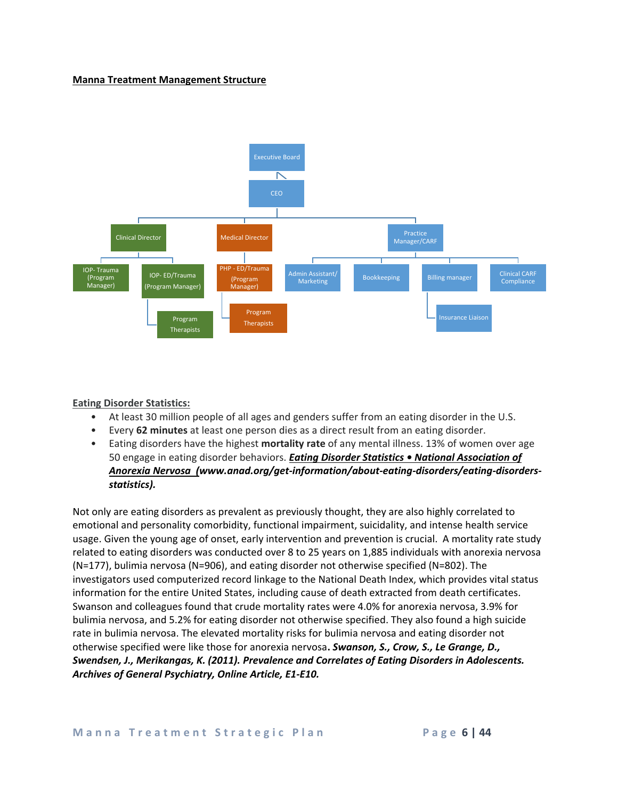### **Manna Treatment Management Structure**



### **Eating Disorder Statistics:**

- At least 30 million people of all ages and genders suffer from an eating disorder in the U.S.
- Every **62 minutes** at least one person dies as a direct result from an eating disorder.
- Eating disorders have the highest **mortality rate** of any mental illness. 13% of women over age 50 engage in eating disorder behaviors. *Eating Disorder Statistics • National Association of Anorexia Nervosa (www.anad.org/get-information/about-eating-disorders/eating-disordersstatistics).*

Not only are eating disorders as prevalent as previously thought, they are also highly correlated to emotional and personality comorbidity, functional impairment, suicidality, and intense health service usage. Given the young age of onset, early intervention and prevention is crucial. A mortality rate study related to eating disorders was conducted over 8 to 25 years on 1,885 individuals with anorexia nervosa (N=177), bulimia nervosa (N=906), and eating disorder not otherwise specified (N=802). The investigators used computerized record linkage to the National Death Index, which provides vital status information for the entire United States, including cause of death extracted from death certificates. Swanson and colleagues found that crude mortality rates were 4.0% for anorexia nervosa, 3.9% for bulimia nervosa, and 5.2% for eating disorder not otherwise specified. They also found a high suicide rate in bulimia nervosa. The elevated mortality risks for bulimia nervosa and eating disorder not otherwise specified were like those for anorexia nervosa**.** *Swanson, S., Crow, S., Le Grange, D., Swendsen, J., Merikangas, K. (2011). Prevalence and Correlates of Eating Disorders in Adolescents. Archives of General Psychiatry, Online Article, E1-E10.*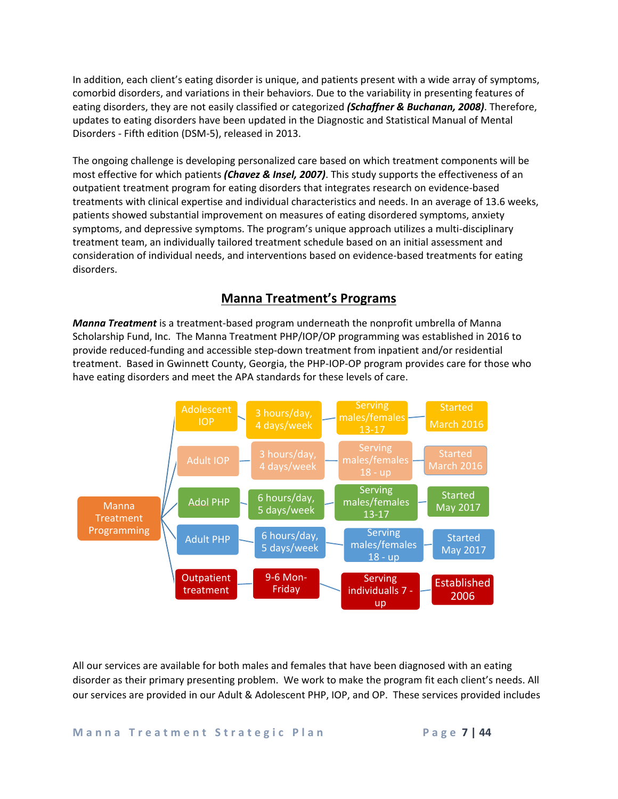In addition, each client's eating disorder is unique, and patients present with a wide array of symptoms, comorbid disorders, and variations in their behaviors. Due to the variability in presenting features of eating disorders, they are not easily classified or categorized *(Schaffner & Buchanan, 2008)*. Therefore, updates to eating disorders have been updated in the Diagnostic and Statistical Manual of Mental Disorders - Fifth edition (DSM-5), released in 2013.

The ongoing challenge is developing personalized care based on which treatment components will be most effective for which patients *(Chavez & Insel, 2007)*. This study supports the effectiveness of an outpatient treatment program for eating disorders that integrates research on evidence-based treatments with clinical expertise and individual characteristics and needs. In an average of 13.6 weeks, patients showed substantial improvement on measures of eating disordered symptoms, anxiety symptoms, and depressive symptoms. The program's unique approach utilizes a multi-disciplinary treatment team, an individually tailored treatment schedule based on an initial assessment and consideration of individual needs, and interventions based on evidence-based treatments for eating disorders.

### **Manna Treatment's Programs**

*Manna Treatment* is a treatment-based program underneath the nonprofit umbrella of Manna Scholarship Fund, Inc. The Manna Treatment PHP/IOP/OP programming was established in 2016 to provide reduced-funding and accessible step-down treatment from inpatient and/or residential treatment. Based in Gwinnett County, Georgia, the PHP-IOP-OP program provides care for those who have eating disorders and meet the APA standards for these levels of care.



All our services are available for both males and females that have been diagnosed with an eating disorder as their primary presenting problem. We work to make the program fit each client's needs. All our services are provided in our Adult & Adolescent PHP, IOP, and OP. These services provided includes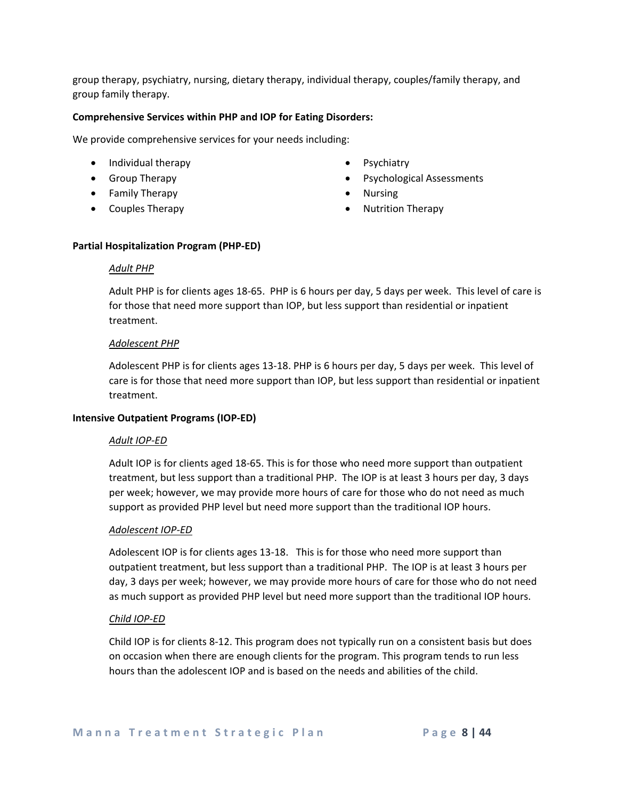group therapy, psychiatry, nursing, dietary therapy, individual therapy, couples/family therapy, and group family therapy.

#### **Comprehensive Services within PHP and IOP for Eating Disorders:**

We provide comprehensive services for your needs including:

- Individual therapy
- Group Therapy
- Family Therapy
- Couples Therapy
- **Psychiatry**
- Psychological Assessments
- Nursing
- Nutrition Therapy

#### **Partial Hospitalization Program (PHP-ED)**

#### *Adult PHP*

Adult PHP is for clients ages 18-65. PHP is 6 hours per day, 5 days per week. This level of care is for those that need more support than IOP, but less support than residential or inpatient treatment.

#### *Adolescent PHP*

Adolescent PHP is for clients ages 13-18. PHP is 6 hours per day, 5 days per week. This level of care is for those that need more support than IOP, but less support than residential or inpatient treatment.

#### **Intensive Outpatient Programs (IOP-ED)**

#### *Adult IOP-ED*

Adult IOP is for clients aged 18-65. This is for those who need more support than outpatient treatment, but less support than a traditional PHP. The IOP is at least 3 hours per day, 3 days per week; however, we may provide more hours of care for those who do not need as much support as provided PHP level but need more support than the traditional IOP hours.

#### *Adolescent IOP-ED*

Adolescent IOP is for clients ages 13-18. This is for those who need more support than outpatient treatment, but less support than a traditional PHP. The IOP is at least 3 hours per day, 3 days per week; however, we may provide more hours of care for those who do not need as much support as provided PHP level but need more support than the traditional IOP hours.

#### *Child IOP-ED*

Child IOP is for clients 8-12. This program does not typically run on a consistent basis but does on occasion when there are enough clients for the program. This program tends to run less hours than the adolescent IOP and is based on the needs and abilities of the child.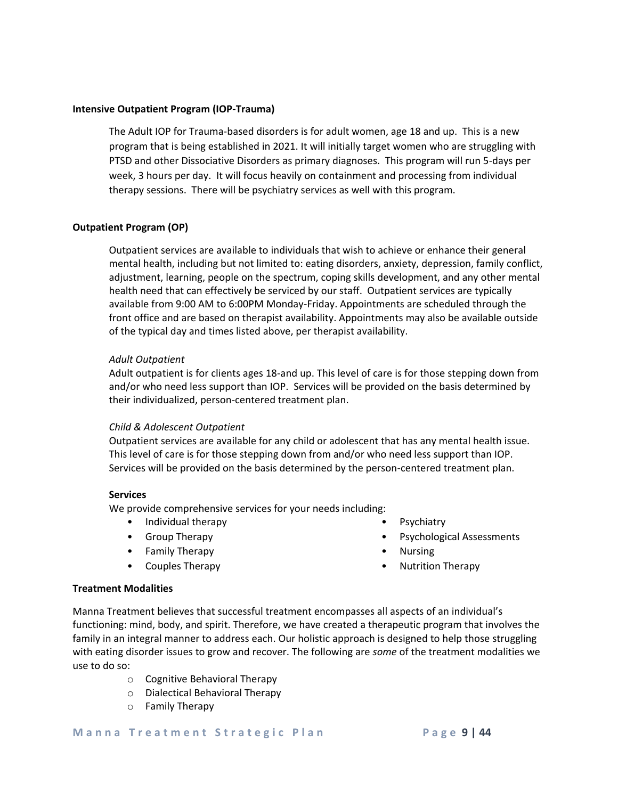#### **Intensive Outpatient Program (IOP-Trauma)**

The Adult IOP for Trauma-based disorders is for adult women, age 18 and up. This is a new program that is being established in 2021. It will initially target women who are struggling with PTSD and other Dissociative Disorders as primary diagnoses. This program will run 5-days per week, 3 hours per day. It will focus heavily on containment and processing from individual therapy sessions. There will be psychiatry services as well with this program.

### **Outpatient Program (OP)**

Outpatient services are available to individuals that wish to achieve or enhance their general mental health, including but not limited to: eating disorders, anxiety, depression, family conflict, adjustment, learning, people on the spectrum, coping skills development, and any other mental health need that can effectively be serviced by our staff. Outpatient services are typically available from 9:00 AM to 6:00PM Monday-Friday. Appointments are scheduled through the front office and are based on therapist availability. Appointments may also be available outside of the typical day and times listed above, per therapist availability.

#### *Adult Outpatient*

Adult outpatient is for clients ages 18-and up. This level of care is for those stepping down from and/or who need less support than IOP. Services will be provided on the basis determined by their individualized, person-centered treatment plan.

#### *Child & Adolescent Outpatient*

Outpatient services are available for any child or adolescent that has any mental health issue. This level of care is for those stepping down from and/or who need less support than IOP. Services will be provided on the basis determined by the person-centered treatment plan.

#### **Services**

We provide comprehensive services for your needs including:

- Individual therapy
- Group Therapy
- Family Therapy
- Couples Therapy
- Psychiatry
- Psychological Assessments
- Nursing
- Nutrition Therapy

#### **Treatment Modalities**

Manna Treatment believes that successful treatment encompasses all aspects of an individual's functioning: mind, body, and spirit. Therefore, we have created a therapeutic program that involves the family in an integral manner to address each. Our holistic approach is designed to help those struggling with eating disorder issues to grow and recover. The following are *some* of the treatment modalities we use to do so:

- o Cognitive Behavioral Therapy
- o Dialectical Behavioral Therapy
- o Family Therapy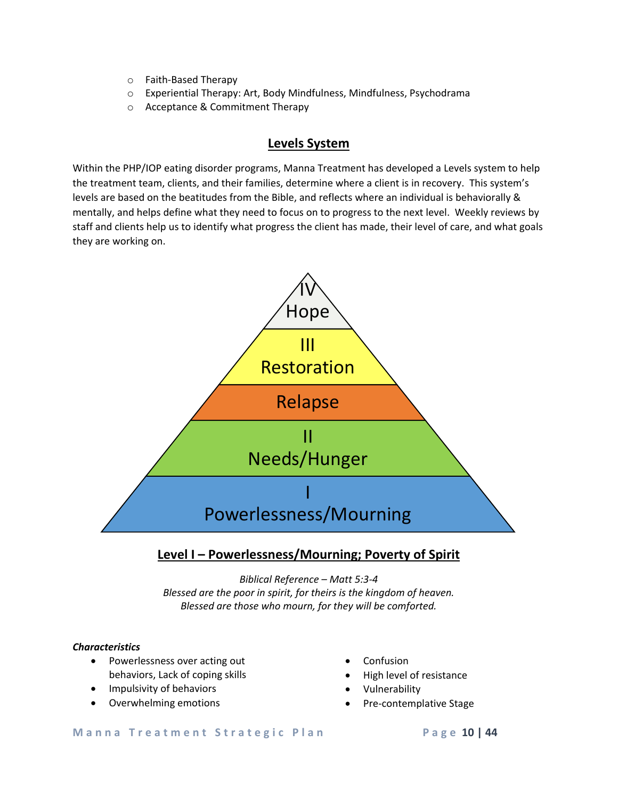- o Faith-Based Therapy
- o Experiential Therapy: Art, Body Mindfulness, Mindfulness, Psychodrama
- o Acceptance & Commitment Therapy

### **Levels System**

Within the PHP/IOP eating disorder programs, Manna Treatment has developed a Levels system to help the treatment team, clients, and their families, determine where a client is in recovery. This system's levels are based on the beatitudes from the Bible, and reflects where an individual is behaviorally & mentally, and helps define what they need to focus on to progress to the next level. Weekly reviews by staff and clients help us to identify what progress the client has made, their level of care, and what goals they are working on.



### **Level I – Powerlessness/Mourning; Poverty of Spirit**

*Biblical Reference – Matt 5:3-4 Blessed are the poor in spirit, for theirs is the kingdom of heaven. Blessed are those who mourn, for they will be comforted.*

### *Characteristics*

- Powerlessness over acting out behaviors, Lack of coping skills
- Impulsivity of behaviors
- Overwhelming emotions
- Confusion
- High level of resistance
- Vulnerability
- Pre-contemplative Stage

#### **Manna Treatment Strategic Plan Page 10 | 44**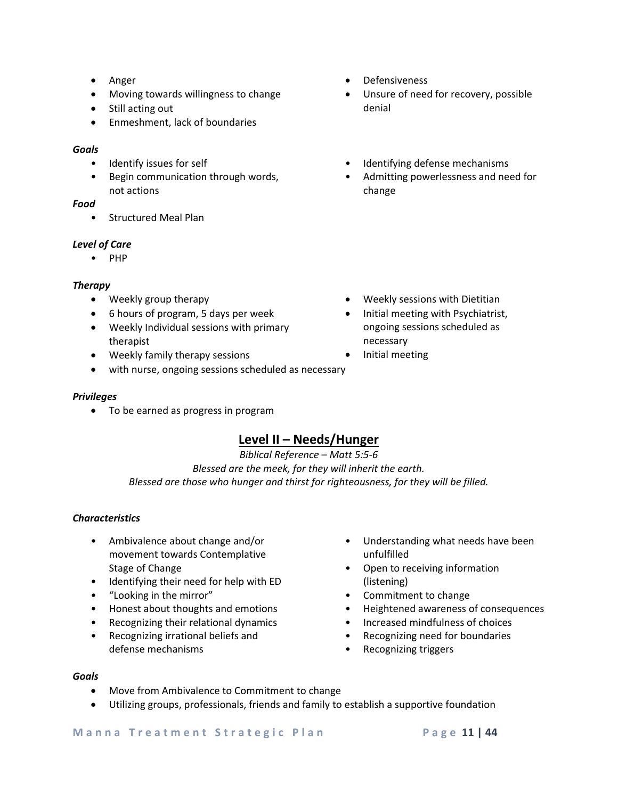- Anger
- Moving towards willingness to change
- Still acting out
- Enmeshment, lack of boundaries

### *Goals*

- Identify issues for self
- Begin communication through words, not actions

### *Food*

• Structured Meal Plan

### *Level of Care*

• PHP

### *Therapy*

- Weekly group therapy
- 6 hours of program, 5 days per week
- Weekly Individual sessions with primary therapist
- Weekly family therapy sessions
- with nurse, ongoing sessions scheduled as necessary

### *Privileges*

• To be earned as progress in program

### **Level II – Needs/Hunger**

*Biblical Reference – Matt 5:5-6 Blessed are the meek, for they will inherit the earth. Blessed are those who hunger and thirst for righteousness, for they will be filled.*

### *Characteristics*

- Ambivalence about change and/or movement towards Contemplative Stage of Change
- Identifying their need for help with ED
- "Looking in the mirror"
- Honest about thoughts and emotions
- Recognizing their relational dynamics
- Recognizing irrational beliefs and defense mechanisms
- Understanding what needs have been unfulfilled
- Open to receiving information (listening)
- Commitment to change
- Heightened awareness of consequences
- Increased mindfulness of choices
- Recognizing need for boundaries
- Recognizing triggers

### *Goals*

- Move from Ambivalence to Commitment to change
- Utilizing groups, professionals, friends and family to establish a supportive foundation
- Defensiveness
- Unsure of need for recovery, possible denial
- Identifying defense mechanisms
- Admitting powerlessness and need for change

- Weekly sessions with Dietitian
- Initial meeting with Psychiatrist, ongoing sessions scheduled as necessary
- Initial meeting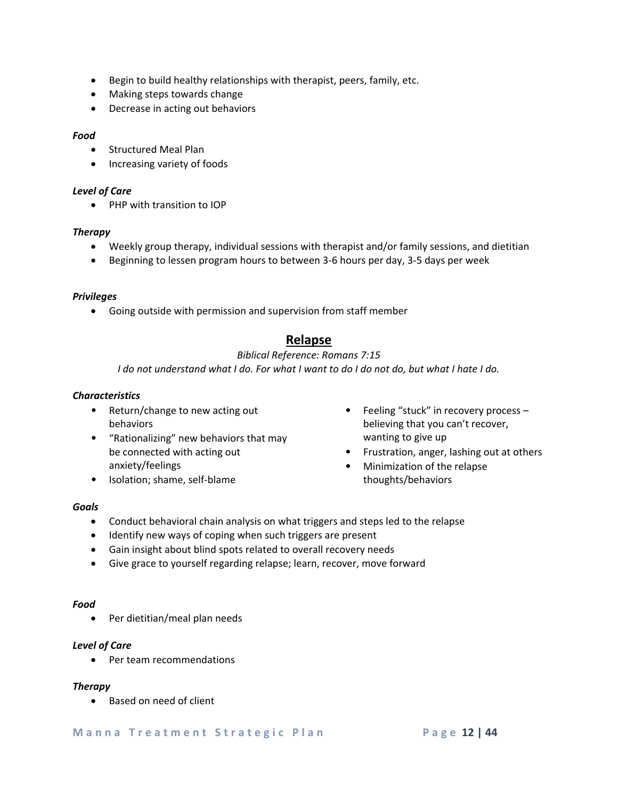- Begin to build healthy relationships with therapist, peers, family, etc.
- Making steps towards change
- Decrease in acting out behaviors

### *Food*

- Structured Meal Plan
- Increasing variety of foods

### *Level of Care*

• PHP with transition to IOP

### *Therapy*

- Weekly group therapy, individual sessions with therapist and/or family sessions, and dietitian
- Beginning to lessen program hours to between 3-6 hours per day, 3-5 days per week

### *Privileges*

• Going outside with permission and supervision from staff member

### **Relapse**

### *Biblical Reference: Romans 7:15*

*I do not understand what I do. For what I want to do I do not do, but what I hate I do.*

### *Characteristics*

- Return/change to new acting out behaviors
- "Rationalizing" new behaviors that may be connected with acting out anxiety/feelings
- Isolation; shame, self-blame
- Feeling "stuck" in recovery process believing that you can't recover, wanting to give up
- Frustration, anger, lashing out at others
- Minimization of the relapse thoughts/behaviors

### *Goals*

- Conduct behavioral chain analysis on what triggers and steps led to the relapse
- Identify new ways of coping when such triggers are present
- Gain insight about blind spots related to overall recovery needs
- Give grace to yourself regarding relapse; learn, recover, move forward

### *Food*

• Per dietitian/meal plan needs

### *Level of Care*

• Per team recommendations

### *Therapy*

• Based on need of client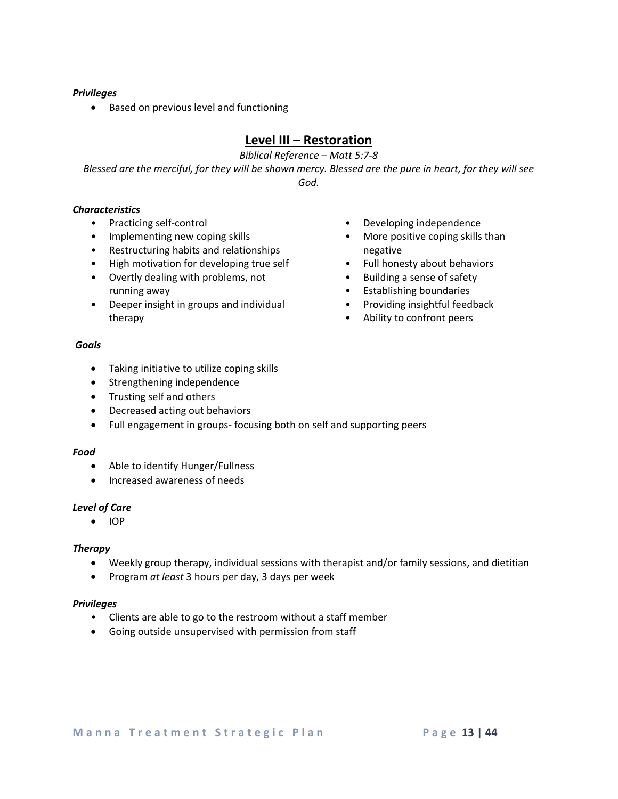### *Privileges*

• Based on previous level and functioning

### **Level III – Restoration**

*Biblical Reference – Matt 5:7-8*

*Blessed are the merciful, for they will be shown mercy. Blessed are the pure in heart, for they will see God.*

### *Characteristics*

- Practicing self-control
- Implementing new coping skills
- Restructuring habits and relationships
- High motivation for developing true self
- Overtly dealing with problems, not running away
- Deeper insight in groups and individual therapy
- Developing independence
- More positive coping skills than negative
- Full honesty about behaviors
- Building a sense of safety
- Establishing boundaries
- Providing insightful feedback
- Ability to confront peers

### *Goals*

- Taking initiative to utilize coping skills
- Strengthening independence
- Trusting self and others
- Decreased acting out behaviors
- Full engagement in groups- focusing both on self and supporting peers

### *Food*

- Able to identify Hunger/Fullness
- Increased awareness of needs

### *Level of Care*

• IOP

### *Therapy*

- Weekly group therapy, individual sessions with therapist and/or family sessions, and dietitian
- Program *at least* 3 hours per day, 3 days per week

### *Privileges*

- Clients are able to go to the restroom without a staff member
- Going outside unsupervised with permission from staff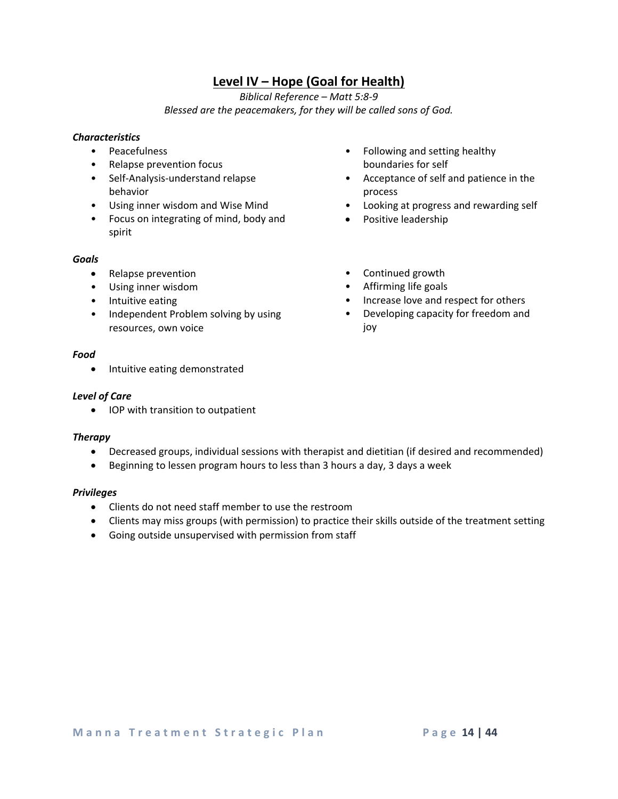### **Level IV – Hope (Goal for Health)**

*Biblical Reference – Matt 5:8-9 Blessed are the peacemakers, for they will be called sons of God.*

### *Characteristics*

- Peacefulness
- Relapse prevention focus
- Self-Analysis-understand relapse behavior
- Using inner wisdom and Wise Mind
- Focus on integrating of mind, body and spirit

### *Goals*

- Relapse prevention
- Using inner wisdom
- Intuitive eating
- Independent Problem solving by using resources, own voice
- Following and setting healthy boundaries for self
- Acceptance of self and patience in the process
- Looking at progress and rewarding self
- Positive leadership
- Continued growth
- Affirming life goals
- Increase love and respect for others
- Developing capacity for freedom and joy

### *Food*

• Intuitive eating demonstrated

### *Level of Care*

• IOP with transition to outpatient

### *Therapy*

- Decreased groups, individual sessions with therapist and dietitian (if desired and recommended)
- Beginning to lessen program hours to less than 3 hours a day, 3 days a week

### *Privileges*

- Clients do not need staff member to use the restroom
- Clients may miss groups (with permission) to practice their skills outside of the treatment setting
- Going outside unsupervised with permission from staff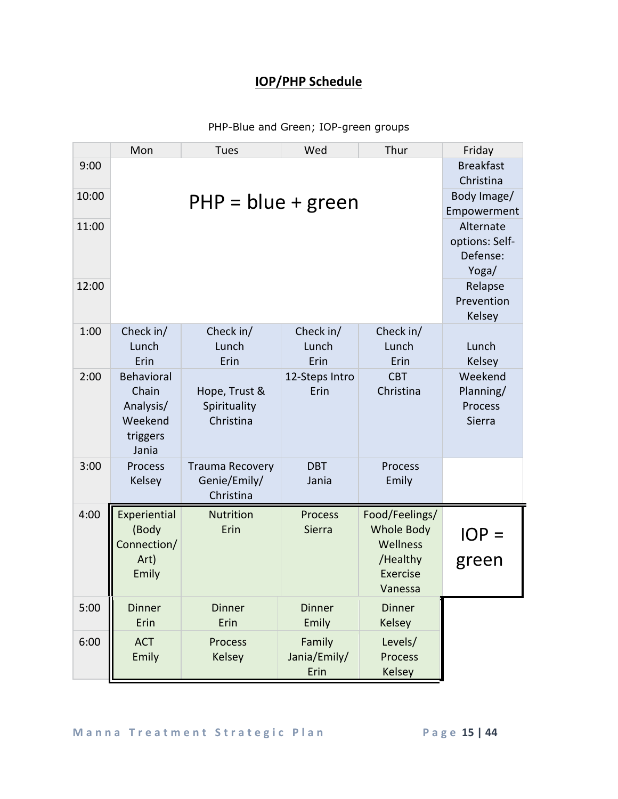## **IOP/PHP Schedule**

PHP-Blue and Green; IOP-green groups

|       | Mon                                                                     | Tues                                                | Wed                                              | Thur                                                                                      | Friday                          |
|-------|-------------------------------------------------------------------------|-----------------------------------------------------|--------------------------------------------------|-------------------------------------------------------------------------------------------|---------------------------------|
| 9:00  |                                                                         |                                                     |                                                  |                                                                                           | <b>Breakfast</b><br>Christina   |
| 10:00 |                                                                         | $PHP = blue + green$                                | Body Image/<br>Empowerment                       |                                                                                           |                                 |
| 11:00 |                                                                         |                                                     | Alternate<br>options: Self-<br>Defense:<br>Yoga/ |                                                                                           |                                 |
| 12:00 |                                                                         |                                                     |                                                  |                                                                                           | Relapse<br>Prevention<br>Kelsey |
| 1:00  | Check in/<br>Lunch<br>Erin                                              | Check in/<br>Lunch<br>Erin                          | Check in/<br>Lunch<br>Erin                       | Check in/<br>Lunch<br>Erin                                                                | Lunch<br>Kelsey                 |
| 2:00  | <b>Behavioral</b><br>Chain<br>Analysis/<br>Weekend<br>triggers<br>Jania | Weekend<br>Planning/<br>Process<br>Sierra           |                                                  |                                                                                           |                                 |
| 3:00  | Process<br>Kelsey                                                       | <b>Trauma Recovery</b><br>Genie/Emily/<br>Christina | <b>DBT</b><br>Jania                              | Process<br>Emily                                                                          |                                 |
| 4:00  | Experiential<br>(Body<br>Connection/<br>Art)<br>Emily                   | <b>Nutrition</b><br>Erin                            | <b>Process</b><br>Sierra                         | Food/Feelings/<br><b>Whole Body</b><br>Wellness<br>/Healthy<br><b>Exercise</b><br>Vanessa | $IOP =$<br>green                |
| 5:00  | <b>Dinner</b><br>Erin                                                   | <b>Dinner</b><br>Erin                               | <b>Dinner</b><br>Emily                           | <b>Dinner</b><br>Kelsey                                                                   |                                 |
| 6:00  | <b>ACT</b><br>Emily                                                     | Process<br>Kelsey                                   | Family<br>Jania/Emily/<br>Erin                   | Levels/<br><b>Process</b><br><b>Kelsey</b>                                                |                                 |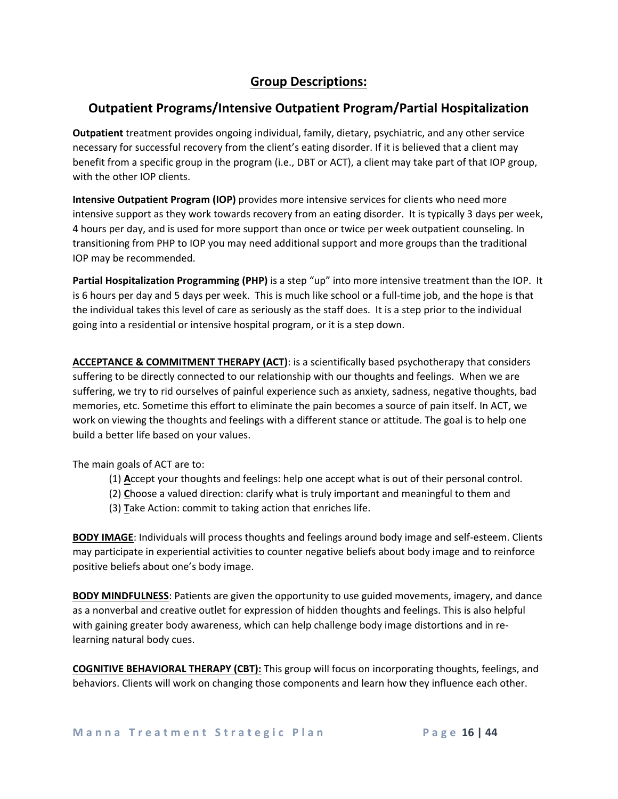### **Group Descriptions:**

### **Outpatient Programs/Intensive Outpatient Program/Partial Hospitalization**

**Outpatient** treatment provides ongoing individual, family, dietary, psychiatric, and any other service necessary for successful recovery from the client's eating disorder. If it is believed that a client may benefit from a specific group in the program (i.e., DBT or ACT), a client may take part of that IOP group, with the other IOP clients.

**Intensive Outpatient Program (IOP)** provides more intensive services for clients who need more intensive support as they work towards recovery from an eating disorder. It is typically 3 days per week, 4 hours per day, and is used for more support than once or twice per week outpatient counseling. In transitioning from PHP to IOP you may need additional support and more groups than the traditional IOP may be recommended.

**Partial Hospitalization Programming (PHP)** is a step "up" into more intensive treatment than the IOP. It is 6 hours per day and 5 days per week. This is much like school or a full-time job, and the hope is that the individual takes this level of care as seriously as the staff does. It is a step prior to the individual going into a residential or intensive hospital program, or it is a step down.

**ACCEPTANCE & COMMITMENT THERAPY (ACT)**: is a scientifically based psychotherapy that considers suffering to be directly connected to our relationship with our thoughts and feelings. When we are suffering, we try to rid ourselves of painful experience such as anxiety, sadness, negative thoughts, bad memories, etc. Sometime this effort to eliminate the pain becomes a source of pain itself. In ACT, we work on viewing the thoughts and feelings with a different stance or attitude. The goal is to help one build a better life based on your values.

The main goals of ACT are to:

- (1) **A**ccept your thoughts and feelings: help one accept what is out of their personal control.
- (2) **C**hoose a valued direction: clarify what is truly important and meaningful to them and
- (3) **T**ake Action: commit to taking action that enriches life.

**BODY IMAGE**: Individuals will process thoughts and feelings around body image and self-esteem. Clients may participate in experiential activities to counter negative beliefs about body image and to reinforce positive beliefs about one's body image.

**BODY MINDFULNESS**: Patients are given the opportunity to use guided movements, imagery, and dance as a nonverbal and creative outlet for expression of hidden thoughts and feelings. This is also helpful with gaining greater body awareness, which can help challenge body image distortions and in relearning natural body cues.

**COGNITIVE BEHAVIORAL THERAPY (CBT):** This group will focus on incorporating thoughts, feelings, and behaviors. Clients will work on changing those components and learn how they influence each other.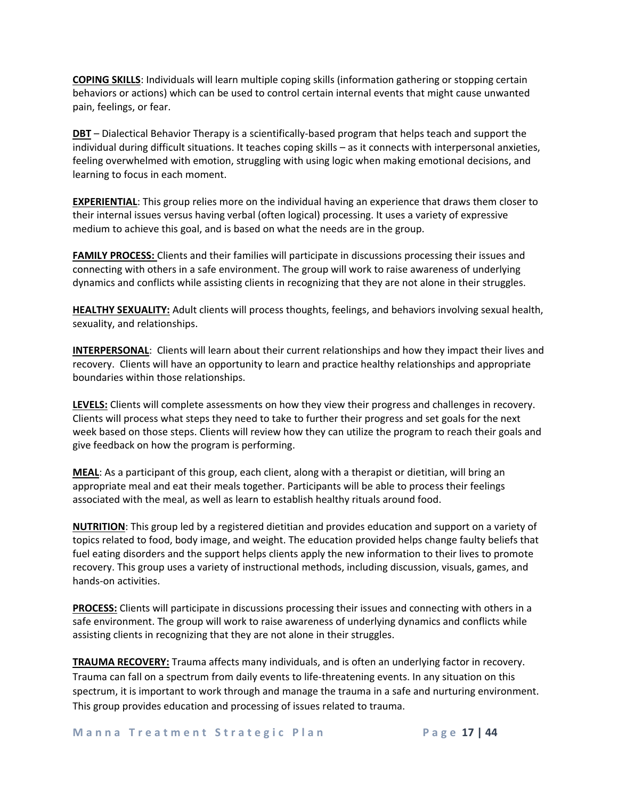**COPING SKILLS**: Individuals will learn multiple coping skills (information gathering or stopping certain behaviors or actions) which can be used to control certain internal events that might cause unwanted pain, feelings, or fear.

**DBT** – Dialectical Behavior Therapy is a scientifically-based program that helps teach and support the individual during difficult situations. It teaches coping skills – as it connects with interpersonal anxieties, feeling overwhelmed with emotion, struggling with using logic when making emotional decisions, and learning to focus in each moment.

**EXPERIENTIAL**: This group relies more on the individual having an experience that draws them closer to their internal issues versus having verbal (often logical) processing. It uses a variety of expressive medium to achieve this goal, and is based on what the needs are in the group.

**FAMILY PROCESS:** Clients and their families will participate in discussions processing their issues and connecting with others in a safe environment. The group will work to raise awareness of underlying dynamics and conflicts while assisting clients in recognizing that they are not alone in their struggles.

**HEALTHY SEXUALITY:** Adult clients will process thoughts, feelings, and behaviors involving sexual health, sexuality, and relationships.

**INTERPERSONAL**: Clients will learn about their current relationships and how they impact their lives and recovery. Clients will have an opportunity to learn and practice healthy relationships and appropriate boundaries within those relationships.

**LEVELS:** Clients will complete assessments on how they view their progress and challenges in recovery. Clients will process what steps they need to take to further their progress and set goals for the next week based on those steps. Clients will review how they can utilize the program to reach their goals and give feedback on how the program is performing.

**MEAL**: As a participant of this group, each client, along with a therapist or dietitian, will bring an appropriate meal and eat their meals together. Participants will be able to process their feelings associated with the meal, as well as learn to establish healthy rituals around food.

**NUTRITION**: This group led by a registered dietitian and provides education and support on a variety of topics related to food, body image, and weight. The education provided helps change faulty beliefs that fuel eating disorders and the support helps clients apply the new information to their lives to promote recovery. This group uses a variety of instructional methods, including discussion, visuals, games, and hands-on activities.

**PROCESS:** Clients will participate in discussions processing their issues and connecting with others in a safe environment. The group will work to raise awareness of underlying dynamics and conflicts while assisting clients in recognizing that they are not alone in their struggles.

**TRAUMA RECOVERY:** Trauma affects many individuals, and is often an underlying factor in recovery. Trauma can fall on a spectrum from daily events to life-threatening events. In any situation on this spectrum, it is important to work through and manage the trauma in a safe and nurturing environment. This group provides education and processing of issues related to trauma.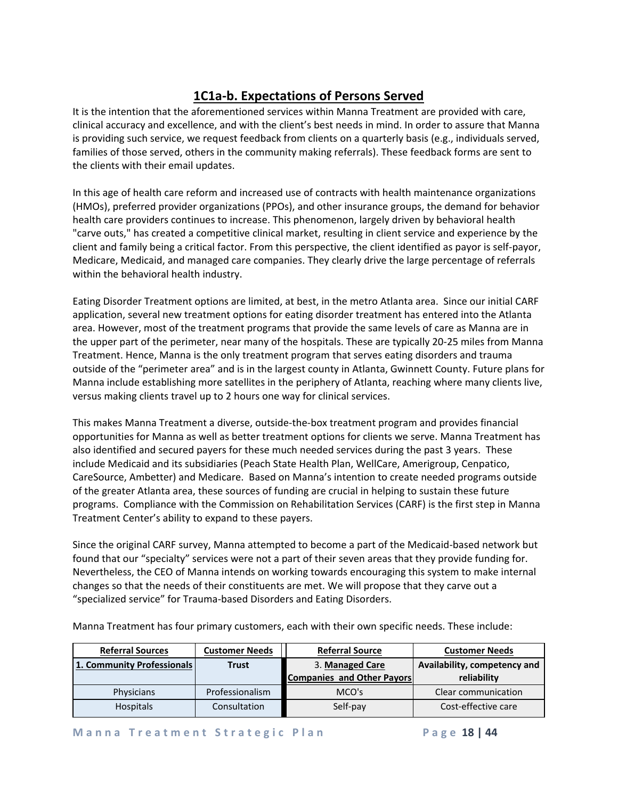## **1C1a-b. Expectations of Persons Served**

It is the intention that the aforementioned services within Manna Treatment are provided with care, clinical accuracy and excellence, and with the client's best needs in mind. In order to assure that Manna is providing such service, we request feedback from clients on a quarterly basis (e.g., individuals served, families of those served, others in the community making referrals). These feedback forms are sent to the clients with their email updates.

In this age of health care reform and increased use of contracts with health maintenance organizations (HMOs), preferred provider organizations (PPOs), and other insurance groups, the demand for behavior health care providers continues to increase. This phenomenon, largely driven by behavioral health "carve outs," has created a competitive clinical market, resulting in client service and experience by the client and family being a critical factor. From this perspective, the client identified as payor is self-payor, Medicare, Medicaid, and managed care companies. They clearly drive the large percentage of referrals within the behavioral health industry.

Eating Disorder Treatment options are limited, at best, in the metro Atlanta area. Since our initial CARF application, several new treatment options for eating disorder treatment has entered into the Atlanta area. However, most of the treatment programs that provide the same levels of care as Manna are in the upper part of the perimeter, near many of the hospitals. These are typically 20-25 miles from Manna Treatment. Hence, Manna is the only treatment program that serves eating disorders and trauma outside of the "perimeter area" and is in the largest county in Atlanta, Gwinnett County. Future plans for Manna include establishing more satellites in the periphery of Atlanta, reaching where many clients live, versus making clients travel up to 2 hours one way for clinical services.

This makes Manna Treatment a diverse, outside-the-box treatment program and provides financial opportunities for Manna as well as better treatment options for clients we serve. Manna Treatment has also identified and secured payers for these much needed services during the past 3 years. These include Medicaid and its subsidiaries (Peach State Health Plan, WellCare, Amerigroup, Cenpatico, CareSource, Ambetter) and Medicare. Based on Manna's intention to create needed programs outside of the greater Atlanta area, these sources of funding are crucial in helping to sustain these future programs. Compliance with the Commission on Rehabilitation Services (CARF) is the first step in Manna Treatment Center's ability to expand to these payers.

Since the original CARF survey, Manna attempted to become a part of the Medicaid-based network but found that our "specialty" services were not a part of their seven areas that they provide funding for. Nevertheless, the CEO of Manna intends on working towards encouraging this system to make internal changes so that the needs of their constituents are met. We will propose that they carve out a "specialized service" for Trauma-based Disorders and Eating Disorders.

| <b>Referral Sources</b>    | <b>Customer Needs</b> | <b>Referral Source</b>     | <b>Customer Needs</b>        |
|----------------------------|-----------------------|----------------------------|------------------------------|
| 1. Community Professionals | <b>Trust</b>          | 3. Managed Care            | Availability, competency and |
|                            |                       | Companies and Other Payors | reliability                  |
| Physicians                 | Professionalism       | MCO's                      | Clear communication          |
| Hospitals                  | Consultation          | Self-pay                   | Cost-effective care          |

Manna Treatment has four primary customers, each with their own specific needs. These include: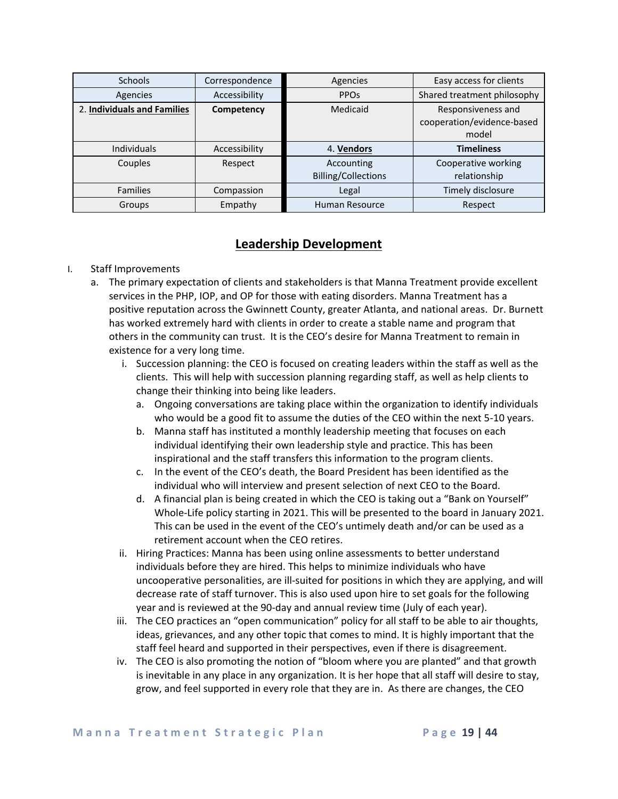| <b>Schools</b>              | Correspondence | Agencies                                 | Easy access for clients                                   |
|-----------------------------|----------------|------------------------------------------|-----------------------------------------------------------|
| Agencies                    | Accessibility  | <b>PPO<sub>s</sub></b>                   | Shared treatment philosophy                               |
| 2. Individuals and Families | Competency     | Medicaid                                 | Responsiveness and<br>cooperation/evidence-based<br>model |
| <b>Individuals</b>          | Accessibility  | 4. Vendors                               | <b>Timeliness</b>                                         |
| Couples                     | Respect        | Accounting<br><b>Billing/Collections</b> | Cooperative working<br>relationship                       |
| <b>Families</b>             | Compassion     | Legal                                    | Timely disclosure                                         |
| Groups                      | Empathy        | Human Resource                           | Respect                                                   |

### **Leadership Development**

### I. Staff Improvements

- a. The primary expectation of clients and stakeholders is that Manna Treatment provide excellent services in the PHP, IOP, and OP for those with eating disorders. Manna Treatment has a positive reputation across the Gwinnett County, greater Atlanta, and national areas. Dr. Burnett has worked extremely hard with clients in order to create a stable name and program that others in the community can trust. It is the CEO's desire for Manna Treatment to remain in existence for a very long time.
	- i. Succession planning: the CEO is focused on creating leaders within the staff as well as the clients. This will help with succession planning regarding staff, as well as help clients to change their thinking into being like leaders.
		- a. Ongoing conversations are taking place within the organization to identify individuals who would be a good fit to assume the duties of the CEO within the next 5-10 years.
		- b. Manna staff has instituted a monthly leadership meeting that focuses on each individual identifying their own leadership style and practice. This has been inspirational and the staff transfers this information to the program clients.
		- c. In the event of the CEO's death, the Board President has been identified as the individual who will interview and present selection of next CEO to the Board.
		- d. A financial plan is being created in which the CEO is taking out a "Bank on Yourself" Whole-Life policy starting in 2021. This will be presented to the board in January 2021. This can be used in the event of the CEO's untimely death and/or can be used as a retirement account when the CEO retires.
	- ii. Hiring Practices: Manna has been using online assessments to better understand individuals before they are hired. This helps to minimize individuals who have uncooperative personalities, are ill-suited for positions in which they are applying, and will decrease rate of staff turnover. This is also used upon hire to set goals for the following year and is reviewed at the 90-day and annual review time (July of each year).
	- iii. The CEO practices an "open communication" policy for all staff to be able to air thoughts, ideas, grievances, and any other topic that comes to mind. It is highly important that the staff feel heard and supported in their perspectives, even if there is disagreement.
	- iv. The CEO is also promoting the notion of "bloom where you are planted" and that growth is inevitable in any place in any organization. It is her hope that all staff will desire to stay, grow, and feel supported in every role that they are in. As there are changes, the CEO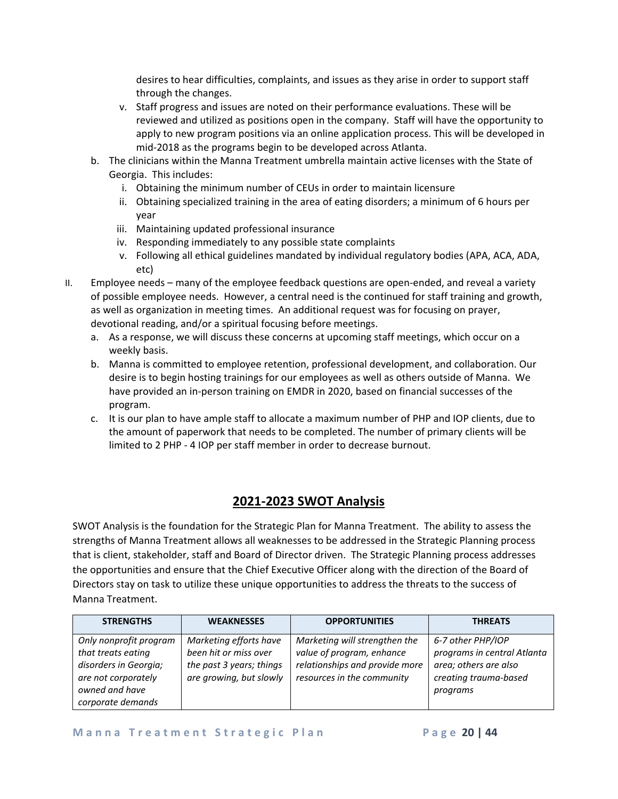desires to hear difficulties, complaints, and issues as they arise in order to support staff through the changes.

- v. Staff progress and issues are noted on their performance evaluations. These will be reviewed and utilized as positions open in the company. Staff will have the opportunity to apply to new program positions via an online application process. This will be developed in mid-2018 as the programs begin to be developed across Atlanta.
- b. The clinicians within the Manna Treatment umbrella maintain active licenses with the State of Georgia. This includes:
	- i. Obtaining the minimum number of CEUs in order to maintain licensure
	- ii. Obtaining specialized training in the area of eating disorders; a minimum of 6 hours per year
	- iii. Maintaining updated professional insurance
	- iv. Responding immediately to any possible state complaints
	- v. Following all ethical guidelines mandated by individual regulatory bodies (APA, ACA, ADA, etc)
- II. Employee needs many of the employee feedback questions are open-ended, and reveal a variety of possible employee needs. However, a central need is the continued for staff training and growth, as well as organization in meeting times. An additional request was for focusing on prayer, devotional reading, and/or a spiritual focusing before meetings.
	- a. As a response, we will discuss these concerns at upcoming staff meetings, which occur on a weekly basis.
	- b. Manna is committed to employee retention, professional development, and collaboration. Our desire is to begin hosting trainings for our employees as well as others outside of Manna. We have provided an in-person training on EMDR in 2020, based on financial successes of the program.
	- c. It is our plan to have ample staff to allocate a maximum number of PHP and IOP clients, due to the amount of paperwork that needs to be completed. The number of primary clients will be limited to 2 PHP - 4 IOP per staff member in order to decrease burnout.

### **2021-2023 SWOT Analysis**

SWOT Analysis is the foundation for the Strategic Plan for Manna Treatment. The ability to assess the strengths of Manna Treatment allows all weaknesses to be addressed in the Strategic Planning process that is client, stakeholder, staff and Board of Director driven. The Strategic Planning process addresses the opportunities and ensure that the Chief Executive Officer along with the direction of the Board of Directors stay on task to utilize these unique opportunities to address the threats to the success of Manna Treatment.

| <b>STRENGTHS</b>                                                                                                                    | <b>WEAKNESSES</b>                                                                                      | <b>OPPORTUNITIES</b>                                                                                                       | <b>THREATS</b>                                                                                                 |
|-------------------------------------------------------------------------------------------------------------------------------------|--------------------------------------------------------------------------------------------------------|----------------------------------------------------------------------------------------------------------------------------|----------------------------------------------------------------------------------------------------------------|
| Only nonprofit program<br>that treats eating<br>disorders in Georgia;<br>are not corporately<br>owned and have<br>corporate demands | Marketing efforts have<br>been hit or miss over<br>the past 3 years; things<br>are growing, but slowly | Marketing will strengthen the<br>value of program, enhance<br>relationships and provide more<br>resources in the community | 6-7 other PHP/IOP<br>programs in central Atlanta<br>area; others are also<br>creating trauma-based<br>programs |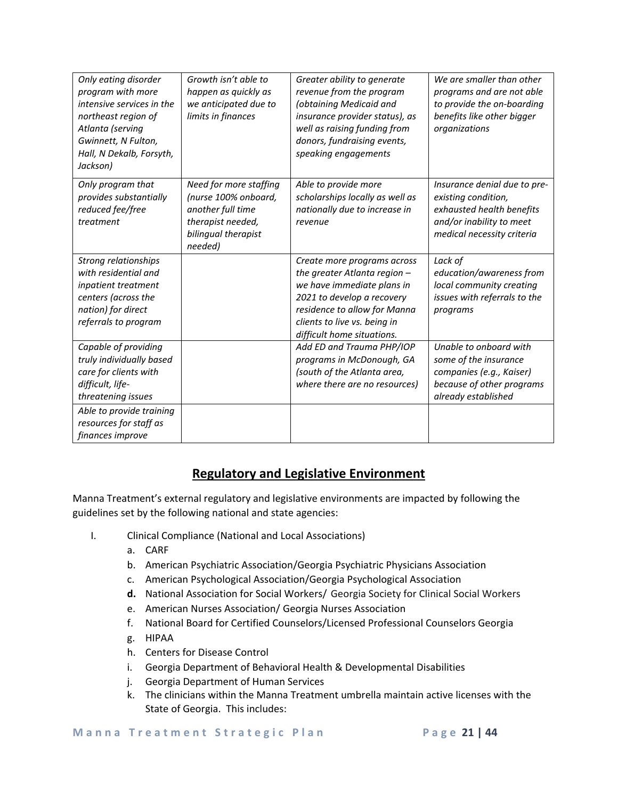| Only eating disorder<br>program with more<br>intensive services in the<br>northeast region of<br>Atlanta (serving<br>Gwinnett, N Fulton,<br>Hall, N Dekalb, Forsyth,<br>Jackson) | Growth isn't able to<br>happen as quickly as<br>we anticipated due to<br>limits in finances                                | Greater ability to generate<br>revenue from the program<br>(obtaining Medicaid and<br>insurance provider status), as<br>well as raising funding from<br>donors, fundraising events,<br>speaking engagements           | We are smaller than other<br>programs and are not able<br>to provide the on-boarding<br>benefits like other bigger<br>organizations        |
|----------------------------------------------------------------------------------------------------------------------------------------------------------------------------------|----------------------------------------------------------------------------------------------------------------------------|-----------------------------------------------------------------------------------------------------------------------------------------------------------------------------------------------------------------------|--------------------------------------------------------------------------------------------------------------------------------------------|
| Only program that<br>provides substantially<br>reduced fee/free<br>treatment                                                                                                     | Need for more staffing<br>(nurse 100% onboard,<br>another full time<br>therapist needed,<br>bilingual therapist<br>needed) | Able to provide more<br>scholarships locally as well as<br>nationally due to increase in<br>revenue                                                                                                                   | Insurance denial due to pre-<br>existing condition,<br>exhausted health benefits<br>and/or inability to meet<br>medical necessity criteria |
| <b>Strong relationships</b><br>with residential and<br>inpatient treatment<br>centers (across the<br>nation) for direct<br>referrals to program                                  |                                                                                                                            | Create more programs across<br>the greater Atlanta region -<br>we have immediate plans in<br>2021 to develop a recovery<br>residence to allow for Manna<br>clients to live vs. being in<br>difficult home situations. | Lack of<br>education/awareness from<br>local community creating<br>issues with referrals to the<br>programs                                |
| Capable of providing<br>truly individually based<br>care for clients with<br>difficult, life-<br>threatening issues                                                              |                                                                                                                            | Add ED and Trauma PHP/IOP<br>programs in McDonough, GA<br>(south of the Atlanta area,<br>where there are no resources)                                                                                                | Unable to onboard with<br>some of the insurance<br>companies (e.g., Kaiser)<br>because of other programs<br>already established            |
| Able to provide training<br>resources for staff as<br>finances improve                                                                                                           |                                                                                                                            |                                                                                                                                                                                                                       |                                                                                                                                            |

### **Regulatory and Legislative Environment**

Manna Treatment's external regulatory and legislative environments are impacted by following the guidelines set by the following national and state agencies:

- I. Clinical Compliance (National and Local Associations)
	- a. CARF
	- b. American Psychiatric Association/Georgia Psychiatric Physicians Association
	- c. American Psychological Association/Georgia Psychological Association
	- **d.** National Association for Social Workers/ Georgia Society for Clinical Social Workers
	- e. American Nurses Association/ Georgia Nurses Association
	- f. National Board for Certified Counselors/Licensed Professional Counselors Georgia
	- g. HIPAA
	- h. Centers for Disease Control
	- i. Georgia Department of Behavioral Health & Developmental Disabilities
	- j. Georgia Department of Human Services
	- k. The clinicians within the Manna Treatment umbrella maintain active licenses with the State of Georgia. This includes: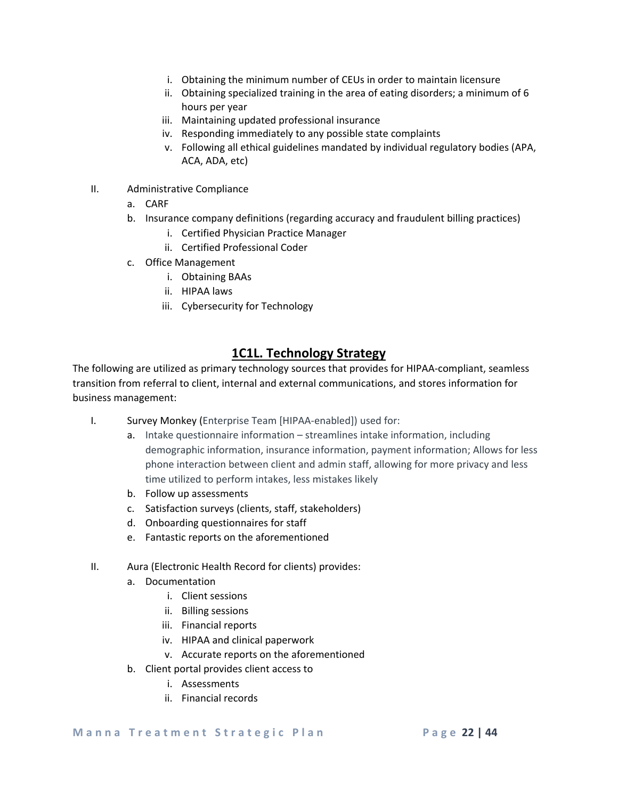- i. Obtaining the minimum number of CEUs in order to maintain licensure
- ii. Obtaining specialized training in the area of eating disorders; a minimum of 6 hours per year
- iii. Maintaining updated professional insurance
- iv. Responding immediately to any possible state complaints
- v. Following all ethical guidelines mandated by individual regulatory bodies (APA, ACA, ADA, etc)
- II. Administrative Compliance
	- a. CARF
	- b. Insurance company definitions (regarding accuracy and fraudulent billing practices)
		- i. Certified Physician Practice Manager
		- ii. Certified Professional Coder
	- c. Office Management
		- i. Obtaining BAAs
		- ii. HIPAA laws
		- iii. Cybersecurity for Technology

### **1C1L. Technology Strategy**

The following are utilized as primary technology sources that provides for HIPAA-compliant, seamless transition from referral to client, internal and external communications, and stores information for business management:

- I. Survey Monkey (Enterprise Team [HIPAA-enabled]) used for:
	- a. Intake questionnaire information streamlines intake information, including demographic information, insurance information, payment information; Allows for less phone interaction between client and admin staff, allowing for more privacy and less time utilized to perform intakes, less mistakes likely
	- b. Follow up assessments
	- c. Satisfaction surveys (clients, staff, stakeholders)
	- d. Onboarding questionnaires for staff
	- e. Fantastic reports on the aforementioned
- II. Aura (Electronic Health Record for clients) provides:
	- a. Documentation
		- i. Client sessions
		- ii. Billing sessions
		- iii. Financial reports
		- iv. HIPAA and clinical paperwork
		- v. Accurate reports on the aforementioned
	- b. Client portal provides client access to
		- i. Assessments
		- ii. Financial records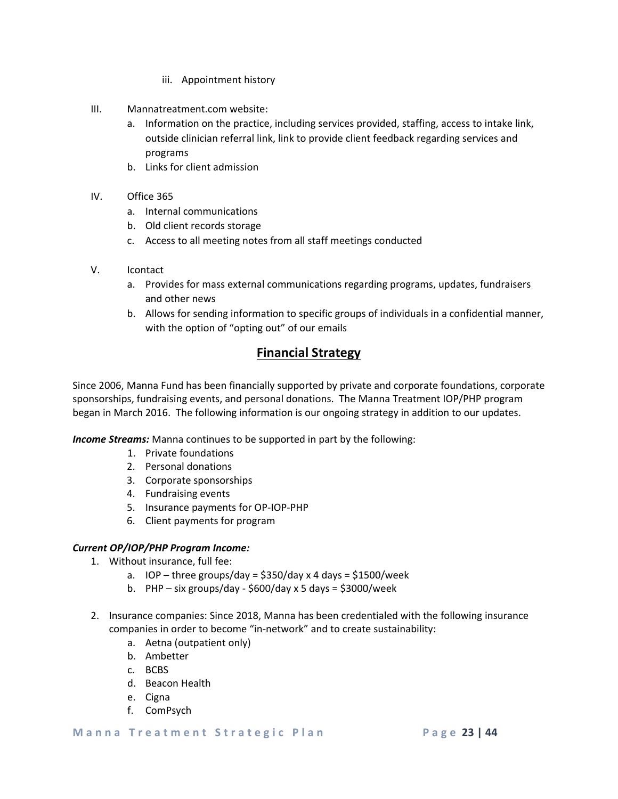- iii. Appointment history
- III. Mannatreatment.com website:
	- a. Information on the practice, including services provided, staffing, access to intake link, outside clinician referral link, link to provide client feedback regarding services and programs
	- b. Links for client admission
- IV. Office 365
	- a. Internal communications
	- b. Old client records storage
	- c. Access to all meeting notes from all staff meetings conducted
- V. Icontact
	- a. Provides for mass external communications regarding programs, updates, fundraisers and other news
	- b. Allows for sending information to specific groups of individuals in a confidential manner, with the option of "opting out" of our emails

### **Financial Strategy**

Since 2006, Manna Fund has been financially supported by private and corporate foundations, corporate sponsorships, fundraising events, and personal donations. The Manna Treatment IOP/PHP program began in March 2016. The following information is our ongoing strategy in addition to our updates.

*Income Streams:* Manna continues to be supported in part by the following:

- 1. Private foundations
- 2. Personal donations
- 3. Corporate sponsorships
- 4. Fundraising events
- 5. Insurance payments for OP-IOP-PHP
- 6. Client payments for program

### *Current OP/IOP/PHP Program Income:*

- 1. Without insurance, full fee:
	- a. IOP three groups/day =  $$350$ /day x 4 days =  $$1500$ /week
	- b. PHP six groups/day  $$600$ /day x 5 days =  $$3000$ /week
- 2. Insurance companies: Since 2018, Manna has been credentialed with the following insurance companies in order to become "in-network" and to create sustainability:
	- a. Aetna (outpatient only)
	- b. Ambetter
	- c. BCBS
	- d. Beacon Health
	- e. Cigna
	- f. ComPsych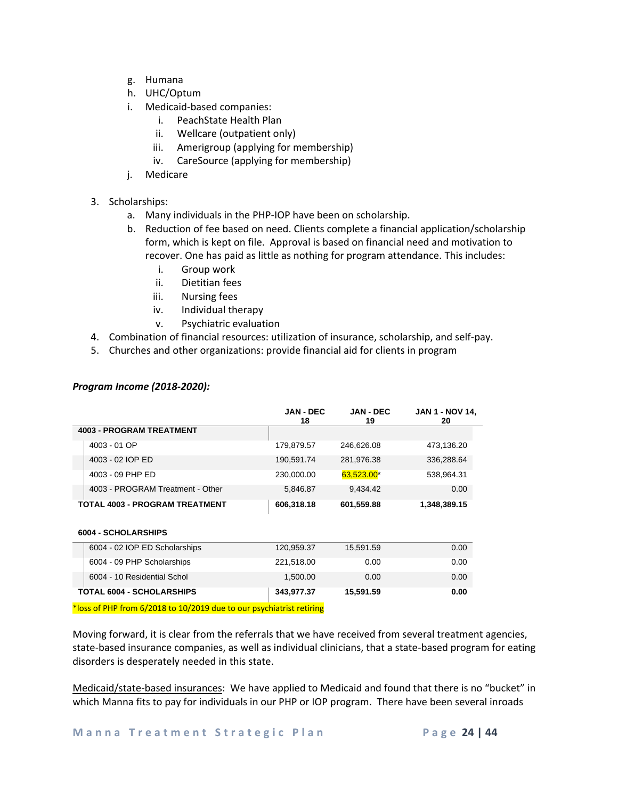- g. Humana
- h. UHC/Optum
- i. Medicaid-based companies:
	- i. PeachState Health Plan
	- ii. Wellcare (outpatient only)
	- iii. Amerigroup (applying for membership)
	- iv. CareSource (applying for membership)
- j. Medicare
- 3. Scholarships:
	- a. Many individuals in the PHP-IOP have been on scholarship.
	- b. Reduction of fee based on need. Clients complete a financial application/scholarship form, which is kept on file. Approval is based on financial need and motivation to recover. One has paid as little as nothing for program attendance. This includes:
		- i. Group work
		- ii. Dietitian fees
		- iii. Nursing fees
		- iv. Individual therapy
		- v. Psychiatric evaluation
- 4. Combination of financial resources: utilization of insurance, scholarship, and self-pay.
- 5. Churches and other organizations: provide financial aid for clients in program

|                                       | <b>JAN - DEC</b><br>18 | <b>JAN - DEC</b><br>19 | <b>JAN 1 - NOV 14,</b><br>20 |
|---------------------------------------|------------------------|------------------------|------------------------------|
| <b>4003 - PROGRAM TREATMENT</b>       |                        |                        |                              |
| 4003 - 01 OP                          | 179,879.57             | 246,626.08             | 473,136.20                   |
| 4003 - 02 IOP ED                      | 190,591.74             | 281,976.38             | 336,288.64                   |
| 4003 - 09 PHP ED                      | 230,000.00             | $63,523.00*$           | 538,964.31                   |
| 4003 - PROGRAM Treatment - Other      | 5,846.87               | 9,434.42               | 0.00                         |
| <b>TOTAL 4003 - PROGRAM TREATMENT</b> | 606,318.18             | 601,559.88             | 1,348,389.15                 |

### *Program Income (2018-2020):*

#### **6004 - SCHOLARSHIPS**

| 6004 - 09 PHP Scholarships<br>221.518.00<br>0.00<br>6004 - 10 Residential Schol<br>1.500.00<br>0.00 | 0.00 |
|-----------------------------------------------------------------------------------------------------|------|
|                                                                                                     |      |
|                                                                                                     | 0.00 |
| 6004 - 02 IOP ED Scholarships<br>120.959.37<br>15,591.59                                            | 0.00 |

\*loss of PHP from 6/2018 to 10/2019 due to our psychiatrist retiring

Moving forward, it is clear from the referrals that we have received from several treatment agencies, state-based insurance companies, as well as individual clinicians, that a state-based program for eating disorders is desperately needed in this state.

Medicaid/state-based insurances: We have applied to Medicaid and found that there is no "bucket" in which Manna fits to pay for individuals in our PHP or IOP program. There have been several inroads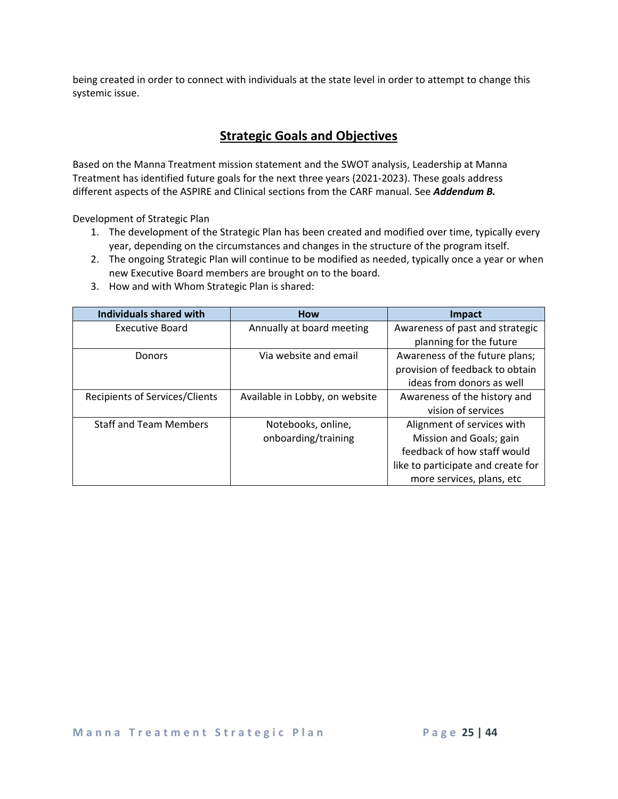being created in order to connect with individuals at the state level in order to attempt to change this systemic issue.

### **Strategic Goals and Objectives**

Based on the Manna Treatment mission statement and the SWOT analysis, Leadership at Manna Treatment has identified future goals for the next three years (2021-2023). These goals address different aspects of the ASPIRE and Clinical sections from the CARF manual. See *Addendum B.*

Development of Strategic Plan

- 1. The development of the Strategic Plan has been created and modified over time, typically every year, depending on the circumstances and changes in the structure of the program itself.
- 2. The ongoing Strategic Plan will continue to be modified as needed, typically once a year or when new Executive Board members are brought on to the board.
- **Individuals shared with How Impact** Executive Board **Annually at board meeting** Awareness of past and strategic planning for the future Donors **Via website and email** Awareness of the future plans; provision of feedback to obtain ideas from donors as well Recipients of Services/Clients | Available in Lobby, on website | Awareness of the history and vision of services Staff and Team Members | Notebooks, online, onboarding/training Alignment of services with Mission and Goals; gain feedback of how staff would like to participate and create for
- 3. How and with Whom Strategic Plan is shared:

more services, plans, etc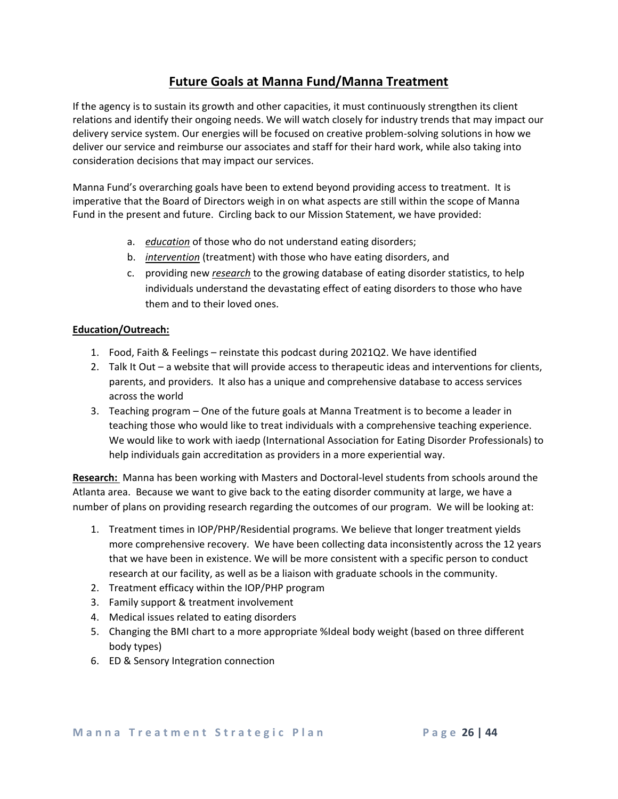### **Future Goals at Manna Fund/Manna Treatment**

If the agency is to sustain its growth and other capacities, it must continuously strengthen its client relations and identify their ongoing needs. We will watch closely for industry trends that may impact our delivery service system. Our energies will be focused on creative problem-solving solutions in how we deliver our service and reimburse our associates and staff for their hard work, while also taking into consideration decisions that may impact our services.

Manna Fund's overarching goals have been to extend beyond providing access to treatment. It is imperative that the Board of Directors weigh in on what aspects are still within the scope of Manna Fund in the present and future. Circling back to our Mission Statement, we have provided:

- a. *education* of those who do not understand eating disorders;
- b. *intervention* (treatment) with those who have eating disorders, and
- c. providing new *research* to the growing database of eating disorder statistics, to help individuals understand the devastating effect of eating disorders to those who have them and to their loved ones.

### **Education/Outreach:**

- 1. Food, Faith & Feelings reinstate this podcast during 2021Q2. We have identified
- 2. Talk It Out a website that will provide access to therapeutic ideas and interventions for clients, parents, and providers. It also has a unique and comprehensive database to access services across the world
- 3. Teaching program One of the future goals at Manna Treatment is to become a leader in teaching those who would like to treat individuals with a comprehensive teaching experience. We would like to work with iaedp (International Association for Eating Disorder Professionals) to help individuals gain accreditation as providers in a more experiential way.

**Research:** Manna has been working with Masters and Doctoral-level students from schools around the Atlanta area. Because we want to give back to the eating disorder community at large, we have a number of plans on providing research regarding the outcomes of our program. We will be looking at:

- 1. Treatment times in IOP/PHP/Residential programs. We believe that longer treatment yields more comprehensive recovery. We have been collecting data inconsistently across the 12 years that we have been in existence. We will be more consistent with a specific person to conduct research at our facility, as well as be a liaison with graduate schools in the community.
- 2. Treatment efficacy within the IOP/PHP program
- 3. Family support & treatment involvement
- 4. Medical issues related to eating disorders
- 5. Changing the BMI chart to a more appropriate %Ideal body weight (based on three different body types)
- 6. ED & Sensory Integration connection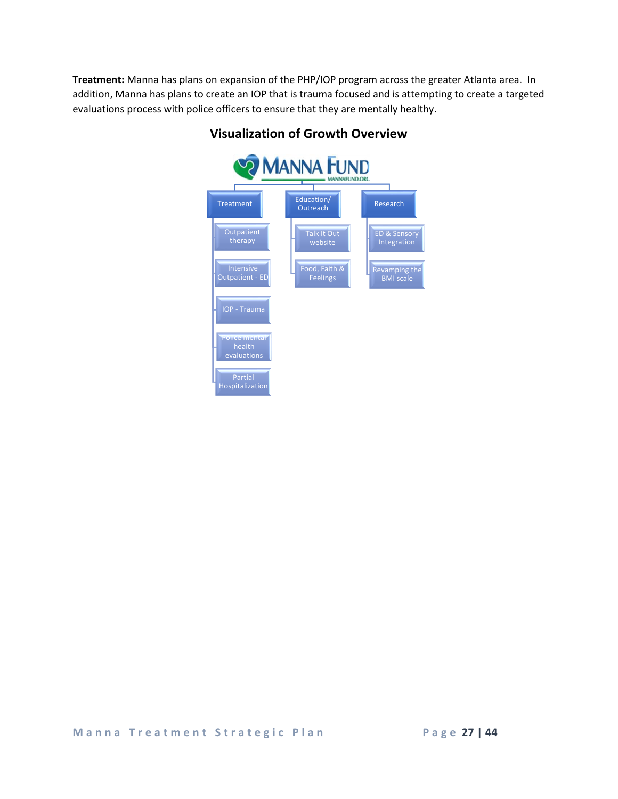**Treatment:** Manna has plans on expansion of the PHP/IOP program across the greater Atlanta area. In addition, Manna has plans to create an IOP that is trauma focused and is attempting to create a targeted evaluations process with police officers to ensure that they are mentally healthy.



### **Visualization of Growth Overview**

**Manna Treatment Strategic Plan Page 27 | 44**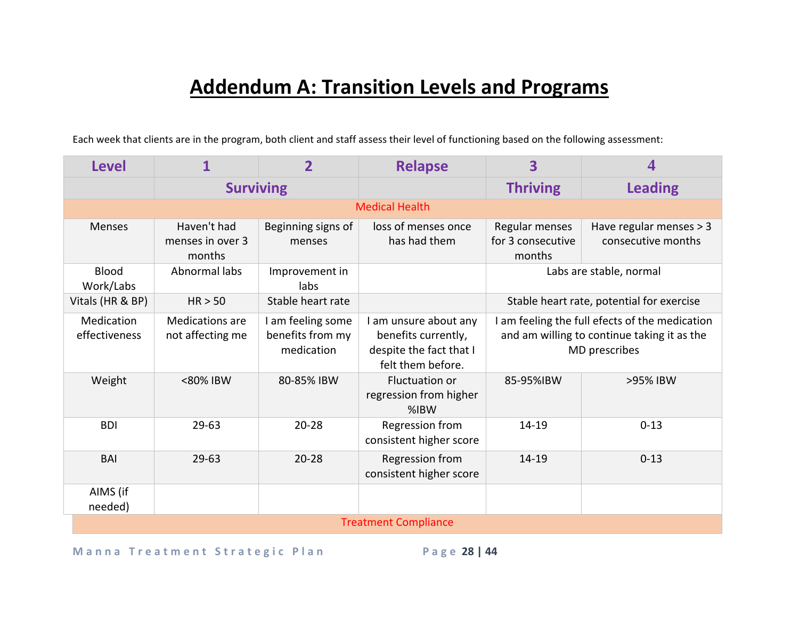# **Addendum A: Transition Levels and Programs**

Each week that clients are in the program, both client and staff assess their level of functioning based on the following assessment:

| <b>Level</b>                | 1                                          |                                                     | <b>Relapse</b>                                                                               | 3                                                                                                              |                                               |  |  |
|-----------------------------|--------------------------------------------|-----------------------------------------------------|----------------------------------------------------------------------------------------------|----------------------------------------------------------------------------------------------------------------|-----------------------------------------------|--|--|
|                             | <b>Surviving</b>                           |                                                     |                                                                                              | <b>Thriving</b>                                                                                                | <b>Leading</b>                                |  |  |
|                             |                                            |                                                     | <b>Medical Health</b>                                                                        |                                                                                                                |                                               |  |  |
| <b>Menses</b>               | Haven't had<br>menses in over 3<br>months  | Beginning signs of<br>menses                        | loss of menses once<br>has had them                                                          | Regular menses<br>for 3 consecutive<br>months                                                                  | Have regular menses > 3<br>consecutive months |  |  |
| <b>Blood</b><br>Work/Labs   | Abnormal labs                              | Improvement in<br>labs                              |                                                                                              |                                                                                                                | Labs are stable, normal                       |  |  |
| Vitals (HR & BP)            | HR > 50                                    | Stable heart rate                                   |                                                                                              |                                                                                                                | Stable heart rate, potential for exercise     |  |  |
| Medication<br>effectiveness | <b>Medications are</b><br>not affecting me | I am feeling some<br>benefits from my<br>medication | I am unsure about any<br>benefits currently,<br>despite the fact that I<br>felt them before. | I am feeling the full efects of the medication<br>and am willing to continue taking it as the<br>MD prescribes |                                               |  |  |
| Weight                      | <80% IBW                                   | 80-85% IBW                                          | <b>Fluctuation or</b><br>regression from higher<br>$%$ IBW                                   | 85-95%IBW                                                                                                      | >95% IBW                                      |  |  |
| <b>BDI</b>                  | $29 - 63$                                  | $20 - 28$                                           | Regression from<br>consistent higher score                                                   | 14-19                                                                                                          | $0 - 13$                                      |  |  |
| <b>BAI</b>                  | $29 - 63$                                  | $20 - 28$                                           | Regression from<br>consistent higher score                                                   | 14-19                                                                                                          | $0 - 13$                                      |  |  |
| AIMS (if<br>needed)         |                                            |                                                     |                                                                                              |                                                                                                                |                                               |  |  |
|                             | <b>Treatment Compliance</b>                |                                                     |                                                                                              |                                                                                                                |                                               |  |  |

Manna Treatment Strategic Plan Page 28 | 44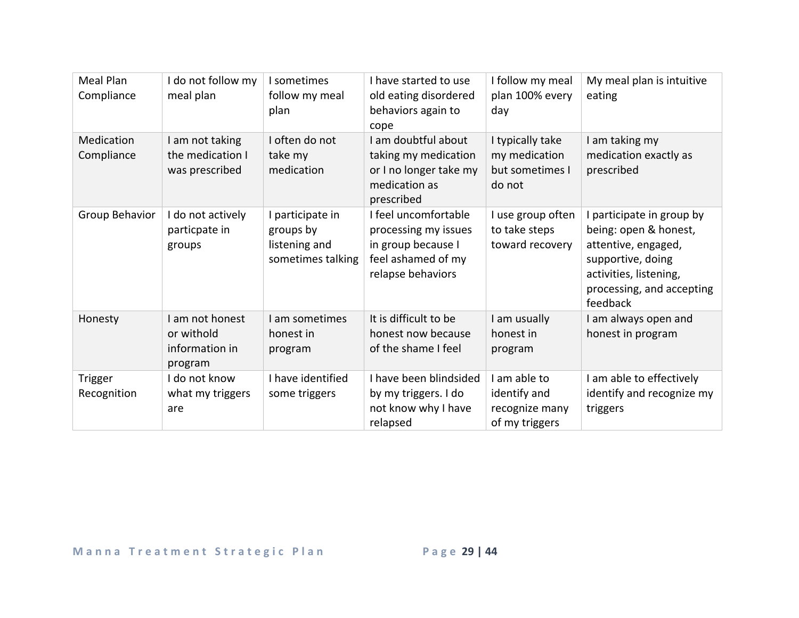| <b>Meal Plan</b><br>Compliance | I do not follow my<br>meal plan                            | I sometimes<br>follow my meal<br>plan                               | I have started to use<br>old eating disordered<br>behaviors again to<br>cope                                  | I follow my meal<br>plan 100% every<br>day                       | My meal plan is intuitive<br>eating                                                                                                                             |
|--------------------------------|------------------------------------------------------------|---------------------------------------------------------------------|---------------------------------------------------------------------------------------------------------------|------------------------------------------------------------------|-----------------------------------------------------------------------------------------------------------------------------------------------------------------|
| Medication<br>Compliance       | I am not taking<br>the medication I<br>was prescribed      | I often do not<br>take my<br>medication                             | I am doubtful about<br>taking my medication<br>or I no longer take my<br>medication as<br>prescribed          | I typically take<br>my medication<br>but sometimes I<br>do not   | I am taking my<br>medication exactly as<br>prescribed                                                                                                           |
| Group Behavior                 | I do not actively<br>particpate in<br>groups               | I participate in<br>groups by<br>listening and<br>sometimes talking | I feel uncomfortable<br>processing my issues<br>in group because I<br>feel ashamed of my<br>relapse behaviors | I use group often<br>to take steps<br>toward recovery            | participate in group by<br>being: open & honest,<br>attentive, engaged,<br>supportive, doing<br>activities, listening,<br>processing, and accepting<br>feedback |
| Honesty                        | I am not honest<br>or withold<br>information in<br>program | I am sometimes<br>honest in<br>program                              | It is difficult to be<br>honest now because<br>of the shame I feel                                            | I am usually<br>honest in<br>program                             | I am always open and<br>honest in program                                                                                                                       |
| <b>Trigger</b><br>Recognition  | I do not know<br>what my triggers<br>are                   | I have identified<br>some triggers                                  | I have been blindsided<br>by my triggers. I do<br>not know why I have<br>relapsed                             | I am able to<br>identify and<br>recognize many<br>of my triggers | I am able to effectively<br>identify and recognize my<br>triggers                                                                                               |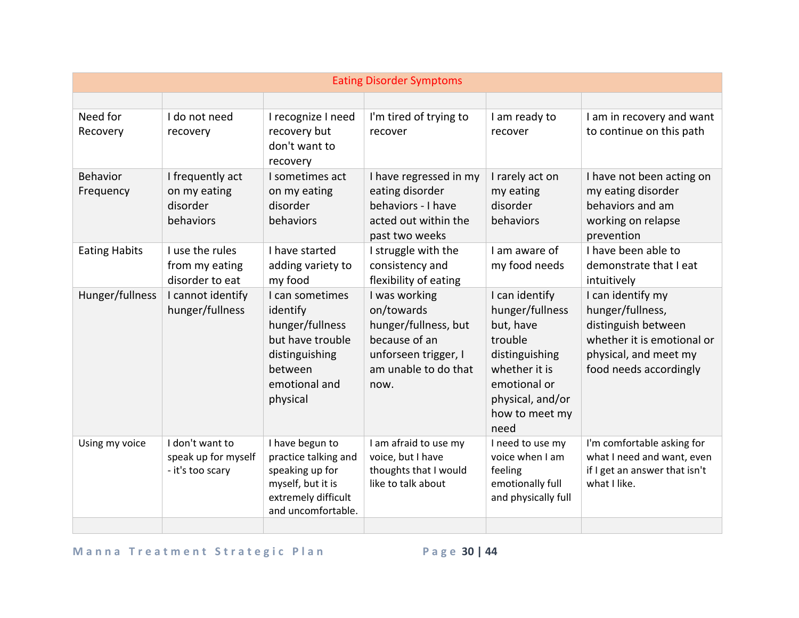| <b>Eating Disorder Symptoms</b> |                                                            |                                                                                                                              |                                                                                                                              |                                                                                                                                                            |                                                                                                                                               |
|---------------------------------|------------------------------------------------------------|------------------------------------------------------------------------------------------------------------------------------|------------------------------------------------------------------------------------------------------------------------------|------------------------------------------------------------------------------------------------------------------------------------------------------------|-----------------------------------------------------------------------------------------------------------------------------------------------|
|                                 |                                                            |                                                                                                                              |                                                                                                                              |                                                                                                                                                            |                                                                                                                                               |
| Need for<br>Recovery            | I do not need<br>recovery                                  | I recognize I need<br>recovery but<br>don't want to<br>recovery                                                              | I'm tired of trying to<br>recover                                                                                            | I am ready to<br>recover                                                                                                                                   | I am in recovery and want<br>to continue on this path                                                                                         |
| <b>Behavior</b><br>Frequency    | I frequently act<br>on my eating<br>disorder<br>behaviors  | I sometimes act<br>on my eating<br>disorder<br>behaviors                                                                     | I have regressed in my<br>eating disorder<br>behaviors - I have<br>acted out within the<br>past two weeks                    | I rarely act on<br>my eating<br>disorder<br>behaviors                                                                                                      | I have not been acting on<br>my eating disorder<br>behaviors and am<br>working on relapse<br>prevention                                       |
| <b>Eating Habits</b>            | I use the rules<br>from my eating<br>disorder to eat       | I have started<br>adding variety to<br>my food                                                                               | I struggle with the<br>consistency and<br>flexibility of eating                                                              | I am aware of<br>my food needs                                                                                                                             | I have been able to<br>demonstrate that I eat<br>intuitively                                                                                  |
| Hunger/fullness                 | I cannot identify<br>hunger/fullness                       | I can sometimes<br>identify<br>hunger/fullness<br>but have trouble<br>distinguishing<br>between<br>emotional and<br>physical | I was working<br>on/towards<br>hunger/fullness, but<br>because of an<br>unforseen trigger, I<br>am unable to do that<br>now. | I can identify<br>hunger/fullness<br>but, have<br>trouble<br>distinguishing<br>whether it is<br>emotional or<br>physical, and/or<br>how to meet my<br>need | I can identify my<br>hunger/fullness,<br>distinguish between<br>whether it is emotional or<br>physical, and meet my<br>food needs accordingly |
| Using my voice                  | I don't want to<br>speak up for myself<br>- it's too scary | I have begun to<br>practice talking and<br>speaking up for<br>myself, but it is<br>extremely difficult<br>and uncomfortable. | I am afraid to use my<br>voice, but I have<br>thoughts that I would<br>like to talk about                                    | I need to use my<br>voice when I am<br>feeling<br>emotionally full<br>and physically full                                                                  | I'm comfortable asking for<br>what I need and want, even<br>if I get an answer that isn't<br>what I like.                                     |
|                                 |                                                            |                                                                                                                              |                                                                                                                              |                                                                                                                                                            |                                                                                                                                               |

## Manna Treatment Strategic Plan Page 30 | 44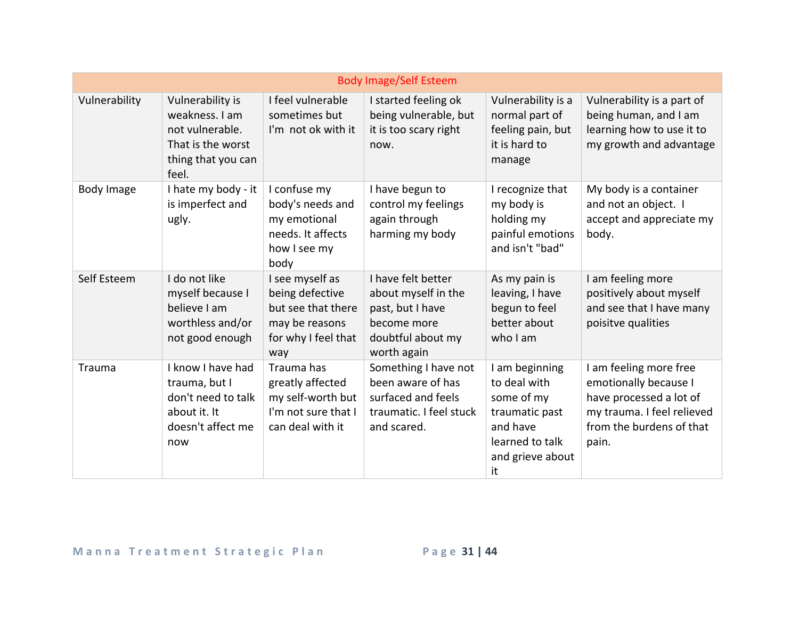|               |                                                                                                           |                                                                                                          | <b>Body Image/Self Esteem</b>                                                                                    |                                                                                                                         |                                                                                                                                               |
|---------------|-----------------------------------------------------------------------------------------------------------|----------------------------------------------------------------------------------------------------------|------------------------------------------------------------------------------------------------------------------|-------------------------------------------------------------------------------------------------------------------------|-----------------------------------------------------------------------------------------------------------------------------------------------|
| Vulnerability | Vulnerability is<br>weakness. I am<br>not vulnerable.<br>That is the worst<br>thing that you can<br>feel. | I feel vulnerable<br>sometimes but<br>I'm not ok with it                                                 | I started feeling ok<br>being vulnerable, but<br>it is too scary right<br>now.                                   | Vulnerability is a<br>normal part of<br>feeling pain, but<br>it is hard to<br>manage                                    | Vulnerability is a part of<br>being human, and I am<br>learning how to use it to<br>my growth and advantage                                   |
| Body Image    | I hate my body - it<br>is imperfect and<br>ugly.                                                          | I confuse my<br>body's needs and<br>my emotional<br>needs. It affects<br>how I see my<br>body            | I have begun to<br>control my feelings<br>again through<br>harming my body                                       | I recognize that<br>my body is<br>holding my<br>painful emotions<br>and isn't "bad"                                     | My body is a container<br>and not an object. I<br>accept and appreciate my<br>body.                                                           |
| Self Esteem   | I do not like<br>myself because I<br>believe I am<br>worthless and/or<br>not good enough                  | I see myself as<br>being defective<br>but see that there<br>may be reasons<br>for why I feel that<br>way | I have felt better<br>about myself in the<br>past, but I have<br>become more<br>doubtful about my<br>worth again | As my pain is<br>leaving, I have<br>begun to feel<br>better about<br>who I am                                           | I am feeling more<br>positively about myself<br>and see that I have many<br>poisitve qualities                                                |
| <b>Trauma</b> | I know I have had<br>trauma, but I<br>don't need to talk<br>about it. It<br>doesn't affect me<br>now      | Trauma has<br>greatly affected<br>my self-worth but<br>I'm not sure that I<br>can deal with it           | Something I have not<br>been aware of has<br>surfaced and feels<br>traumatic. I feel stuck<br>and scared.        | I am beginning<br>to deal with<br>some of my<br>traumatic past<br>and have<br>learned to talk<br>and grieve about<br>it | I am feeling more free<br>emotionally because I<br>have processed a lot of<br>my trauma. I feel relieved<br>from the burdens of that<br>pain. |

## Manna Treatment Strategic Plan Page 31 | 44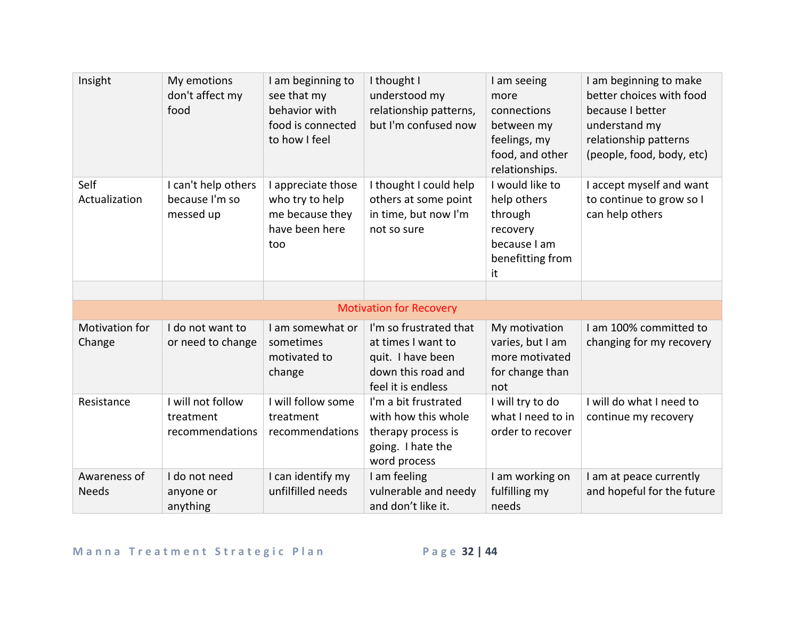| Insight                      | My emotions<br>don't affect my<br>food             | I am beginning to<br>see that my<br>behavior with<br>food is connected<br>to how I feel | I thought I<br>understood my<br>relationship patterns,<br>but I'm confused now                                | I am seeing<br>more<br>connections<br>between my<br>feelings, my<br>food, and other<br>relationships. | I am beginning to make<br>better choices with food<br>because I better<br>understand my<br>relationship patterns<br>(people, food, body, etc) |
|------------------------------|----------------------------------------------------|-----------------------------------------------------------------------------------------|---------------------------------------------------------------------------------------------------------------|-------------------------------------------------------------------------------------------------------|-----------------------------------------------------------------------------------------------------------------------------------------------|
| Self<br>Actualization        | I can't help others<br>because I'm so<br>messed up | I appreciate those<br>who try to help<br>me because they<br>have been here<br>too       | I thought I could help<br>others at some point<br>in time, but now I'm<br>not so sure                         | I would like to<br>help others<br>through<br>recovery<br>because I am<br>benefitting from<br>it       | I accept myself and want<br>to continue to grow so I<br>can help others                                                                       |
|                              |                                                    |                                                                                         |                                                                                                               |                                                                                                       |                                                                                                                                               |
|                              |                                                    |                                                                                         | <b>Motivation for Recovery</b>                                                                                |                                                                                                       |                                                                                                                                               |
| Motivation for<br>Change     | I do not want to<br>or need to change              | I am somewhat or<br>sometimes<br>motivated to<br>change                                 | I'm so frustrated that<br>at times I want to<br>quit. I have been<br>down this road and<br>feel it is endless | My motivation<br>varies, but I am<br>more motivated<br>for change than<br>not                         | I am 100% committed to<br>changing for my recovery                                                                                            |
| Resistance                   | I will not follow<br>treatment<br>recommendations  | I will follow some<br>treatment<br>recommendations                                      | I'm a bit frustrated<br>with how this whole<br>therapy process is<br>going. I hate the<br>word process        | I will try to do<br>what I need to in<br>order to recover                                             | I will do what I need to<br>continue my recovery                                                                                              |
| Awareness of<br><b>Needs</b> | I do not need<br>anyone or<br>anything             | I can identify my<br>unfilfilled needs                                                  | I am feeling<br>vulnerable and needy<br>and don't like it.                                                    | I am working on<br>fulfilling my<br>needs                                                             | I am at peace currently<br>and hopeful for the future                                                                                         |

## Manna Treatment Strategic Plan Page 32 | 44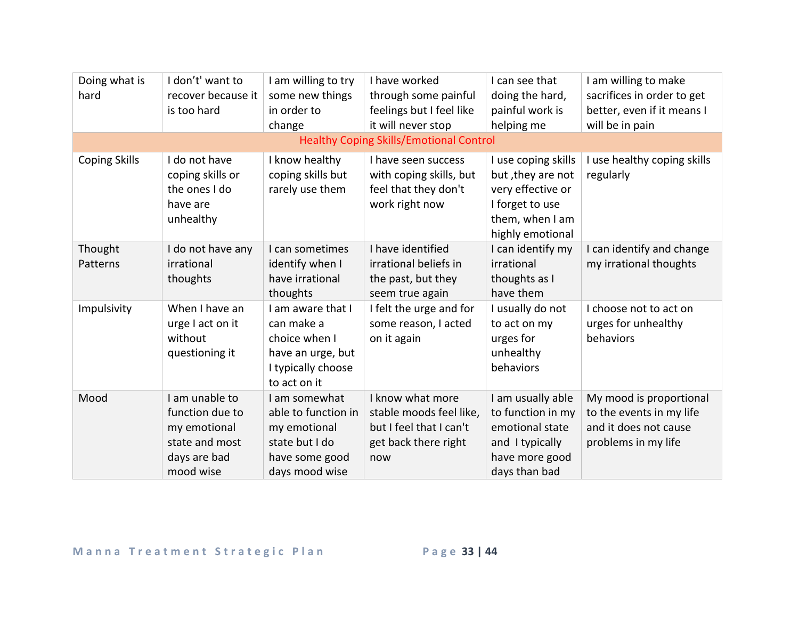| Doing what is<br>hard | I don't' want to<br>recover because it<br>is too hard                                            | I am willing to try<br>some new things<br>in order to<br>change                                             | I have worked<br>through some painful<br>feelings but I feel like<br>it will never stop               | I can see that<br>doing the hard,<br>painful work is<br>helping me                                                      | I am willing to make<br>sacrifices in order to get<br>better, even if it means I<br>will be in pain |
|-----------------------|--------------------------------------------------------------------------------------------------|-------------------------------------------------------------------------------------------------------------|-------------------------------------------------------------------------------------------------------|-------------------------------------------------------------------------------------------------------------------------|-----------------------------------------------------------------------------------------------------|
|                       |                                                                                                  |                                                                                                             | <b>Healthy Coping Skills/Emotional Control</b>                                                        |                                                                                                                         |                                                                                                     |
| <b>Coping Skills</b>  | I do not have<br>coping skills or<br>the ones I do<br>have are<br>unhealthy                      | I know healthy<br>coping skills but<br>rarely use them                                                      | I have seen success<br>with coping skills, but<br>feel that they don't<br>work right now              | I use coping skills<br>but, they are not<br>very effective or<br>I forget to use<br>them, when I am<br>highly emotional | I use healthy coping skills<br>regularly                                                            |
| Thought<br>Patterns   | I do not have any<br>irrational<br>thoughts                                                      | I can sometimes<br>identify when I<br>have irrational<br>thoughts                                           | I have identified<br>irrational beliefs in<br>the past, but they<br>seem true again                   | I can identify my<br>irrational<br>thoughts as I<br>have them                                                           | I can identify and change<br>my irrational thoughts                                                 |
| Impulsivity           | When I have an<br>urge I act on it<br>without<br>questioning it                                  | I am aware that I<br>can make a<br>choice when I<br>have an urge, but<br>I typically choose<br>to act on it | I felt the urge and for<br>some reason, I acted<br>on it again                                        | I usually do not<br>to act on my<br>urges for<br>unhealthy<br>behaviors                                                 | I choose not to act on<br>urges for unhealthy<br>behaviors                                          |
| Mood                  | I am unable to<br>function due to<br>my emotional<br>state and most<br>days are bad<br>mood wise | I am somewhat<br>able to function in<br>my emotional<br>state but I do<br>have some good<br>days mood wise  | I know what more<br>stable moods feel like,<br>but I feel that I can't<br>get back there right<br>now | I am usually able<br>to function in my<br>emotional state<br>and I typically<br>have more good<br>days than bad         | My mood is proportional<br>to the events in my life<br>and it does not cause<br>problems in my life |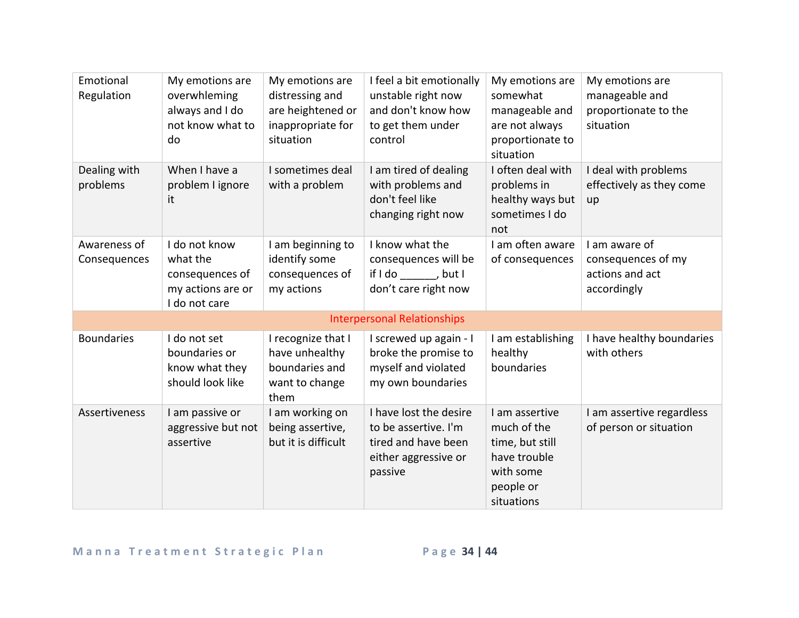| Emotional<br>Regulation      | My emotions are<br>overwhleming<br>always and I do<br>not know what to<br>do       | My emotions are<br>distressing and<br>are heightened or<br>inappropriate for<br>situation | I feel a bit emotionally<br>unstable right now<br>and don't know how<br>to get them under<br>control     | My emotions are<br>somewhat<br>manageable and<br>are not always<br>proportionate to<br>situation         | My emotions are<br>manageable and<br>proportionate to the<br>situation |
|------------------------------|------------------------------------------------------------------------------------|-------------------------------------------------------------------------------------------|----------------------------------------------------------------------------------------------------------|----------------------------------------------------------------------------------------------------------|------------------------------------------------------------------------|
| Dealing with<br>problems     | When I have a<br>problem I ignore<br>it                                            | I sometimes deal<br>with a problem                                                        | I am tired of dealing<br>with problems and<br>don't feel like<br>changing right now                      | I often deal with<br>problems in<br>healthy ways but<br>sometimes I do<br>not                            | I deal with problems<br>effectively as they come<br>up                 |
| Awareness of<br>Consequences | I do not know<br>what the<br>consequences of<br>my actions are or<br>I do not care | I am beginning to<br>identify some<br>consequences of<br>my actions                       | I know what the<br>consequences will be<br>if I do , but I<br>don't care right now                       | I am often aware<br>of consequences                                                                      | I am aware of<br>consequences of my<br>actions and act<br>accordingly  |
|                              |                                                                                    |                                                                                           | <b>Interpersonal Relationships</b>                                                                       |                                                                                                          |                                                                        |
| <b>Boundaries</b>            | I do not set<br>boundaries or<br>know what they<br>should look like                | I recognize that I<br>have unhealthy<br>boundaries and<br>want to change<br>them          | I screwed up again - I<br>broke the promise to<br>myself and violated<br>my own boundaries               | I am establishing<br>healthy<br>boundaries                                                               | I have healthy boundaries<br>with others                               |
| Assertiveness                | I am passive or<br>aggressive but not<br>assertive                                 | I am working on<br>being assertive,<br>but it is difficult                                | I have lost the desire<br>to be assertive. I'm<br>tired and have been<br>either aggressive or<br>passive | I am assertive<br>much of the<br>time, but still<br>have trouble<br>with some<br>people or<br>situations | I am assertive regardless<br>of person or situation                    |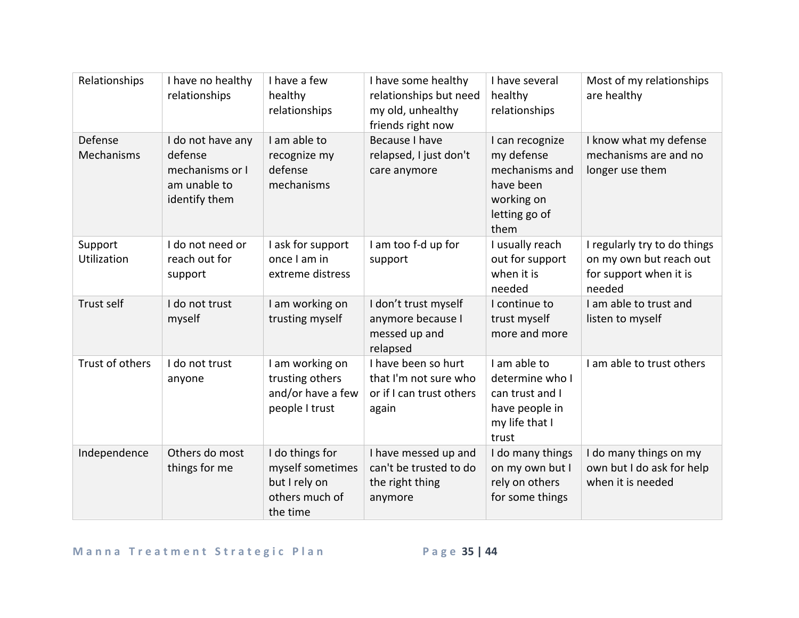| Relationships          | I have no healthy<br>relationships                                               | I have a few<br>healthy<br>relationships                                           | I have some healthy<br>relationships but need<br>my old, unhealthy<br>friends right now | I have several<br>healthy<br>relationships                                                          | Most of my relationships<br>are healthy                                                     |
|------------------------|----------------------------------------------------------------------------------|------------------------------------------------------------------------------------|-----------------------------------------------------------------------------------------|-----------------------------------------------------------------------------------------------------|---------------------------------------------------------------------------------------------|
| Defense<br>Mechanisms  | I do not have any<br>defense<br>mechanisms or I<br>am unable to<br>identify them | I am able to<br>recognize my<br>defense<br>mechanisms                              | Because I have<br>relapsed, I just don't<br>care anymore                                | I can recognize<br>my defense<br>mechanisms and<br>have been<br>working on<br>letting go of<br>them | I know what my defense<br>mechanisms are and no<br>longer use them                          |
| Support<br>Utilization | I do not need or<br>reach out for<br>support                                     | I ask for support<br>once I am in<br>extreme distress                              | I am too f-d up for<br>support                                                          | I usually reach<br>out for support<br>when it is<br>needed                                          | I regularly try to do things<br>on my own but reach out<br>for support when it is<br>needed |
| Trust self             | I do not trust<br>myself                                                         | I am working on<br>trusting myself                                                 | I don't trust myself<br>anymore because I<br>messed up and<br>relapsed                  | I continue to<br>trust myself<br>more and more                                                      | I am able to trust and<br>listen to myself                                                  |
| Trust of others        | I do not trust<br>anyone                                                         | I am working on<br>trusting others<br>and/or have a few<br>people I trust          | I have been so hurt<br>that I'm not sure who<br>or if I can trust others<br>again       | I am able to<br>determine who I<br>can trust and I<br>have people in<br>my life that I<br>trust     | I am able to trust others                                                                   |
| Independence           | Others do most<br>things for me                                                  | I do things for<br>myself sometimes<br>but I rely on<br>others much of<br>the time | I have messed up and<br>can't be trusted to do<br>the right thing<br>anymore            | I do many things<br>on my own but I<br>rely on others<br>for some things                            | I do many things on my<br>own but I do ask for help<br>when it is needed                    |

## Manna Treatment Strategic Plan Page 35 | 44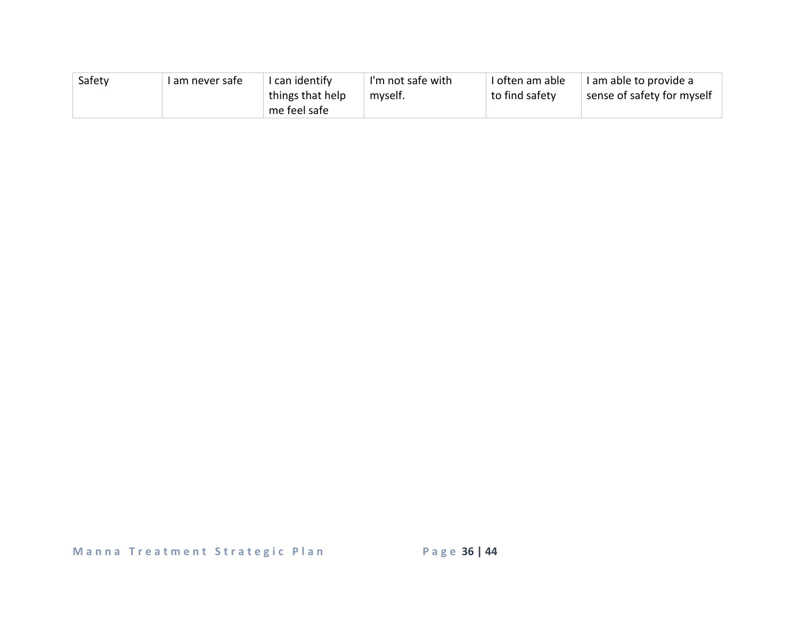| Safety | I am never safe | I can identify   | I'm not safe with | I often am able | I am able to provide a     |
|--------|-----------------|------------------|-------------------|-----------------|----------------------------|
|        |                 | things that help | myself.           | to find safety  | sense of safety for myself |
|        |                 | me feel safe     |                   |                 |                            |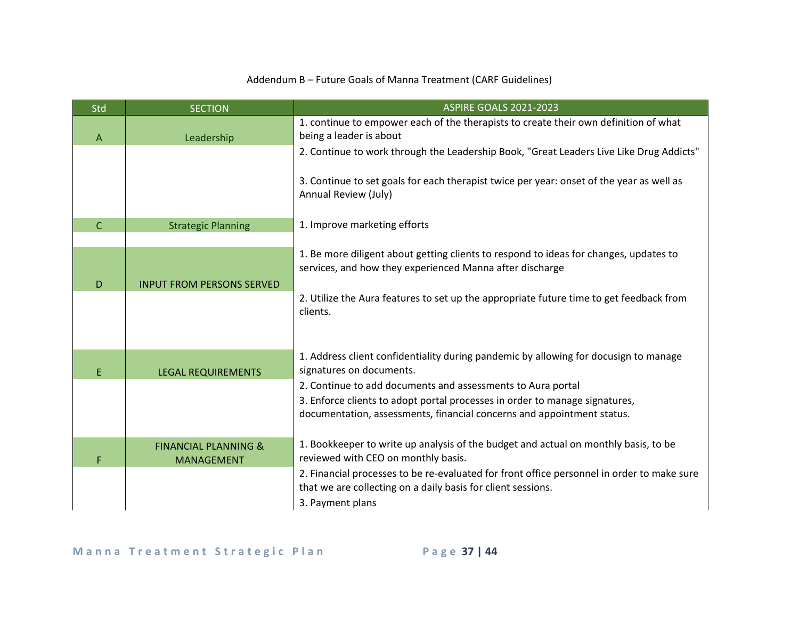### Addendum B – Future Goals of Manna Treatment (CARF Guidelines)

| Std            | <b>SECTION</b>                   | <b>ASPIRE GOALS 2021-2023</b>                                                                                                                     |
|----------------|----------------------------------|---------------------------------------------------------------------------------------------------------------------------------------------------|
|                |                                  | 1. continue to empower each of the therapists to create their own definition of what                                                              |
| $\overline{A}$ | Leadership                       | being a leader is about                                                                                                                           |
|                |                                  | 2. Continue to work through the Leadership Book, "Great Leaders Live Like Drug Addicts"                                                           |
|                |                                  |                                                                                                                                                   |
|                |                                  | 3. Continue to set goals for each therapist twice per year: onset of the year as well as                                                          |
|                |                                  | Annual Review (July)                                                                                                                              |
|                |                                  |                                                                                                                                                   |
| $\mathsf{C}$   | <b>Strategic Planning</b>        | 1. Improve marketing efforts                                                                                                                      |
|                |                                  |                                                                                                                                                   |
|                |                                  | 1. Be more diligent about getting clients to respond to ideas for changes, updates to<br>services, and how they experienced Manna after discharge |
|                |                                  |                                                                                                                                                   |
| D              | <b>INPUT FROM PERSONS SERVED</b> |                                                                                                                                                   |
|                |                                  | 2. Utilize the Aura features to set up the appropriate future time to get feedback from<br>clients.                                               |
|                |                                  |                                                                                                                                                   |
|                |                                  |                                                                                                                                                   |
|                |                                  | 1. Address client confidentiality during pandemic by allowing for docusign to manage                                                              |
| E.             | <b>LEGAL REQUIREMENTS</b>        | signatures on documents.                                                                                                                          |
|                |                                  | 2. Continue to add documents and assessments to Aura portal                                                                                       |
|                |                                  | 3. Enforce clients to adopt portal processes in order to manage signatures,                                                                       |
|                |                                  | documentation, assessments, financial concerns and appointment status.                                                                            |
|                |                                  |                                                                                                                                                   |
|                | <b>FINANCIAL PLANNING &amp;</b>  | 1. Bookkeeper to write up analysis of the budget and actual on monthly basis, to be                                                               |
| F              | <b>MANAGEMENT</b>                | reviewed with CEO on monthly basis.                                                                                                               |
|                |                                  | 2. Financial processes to be re-evaluated for front office personnel in order to make sure                                                        |
|                |                                  | that we are collecting on a daily basis for client sessions.                                                                                      |
|                |                                  | 3. Payment plans                                                                                                                                  |
|                |                                  |                                                                                                                                                   |

Manna Treatment Strategic Plan Page 37 | 44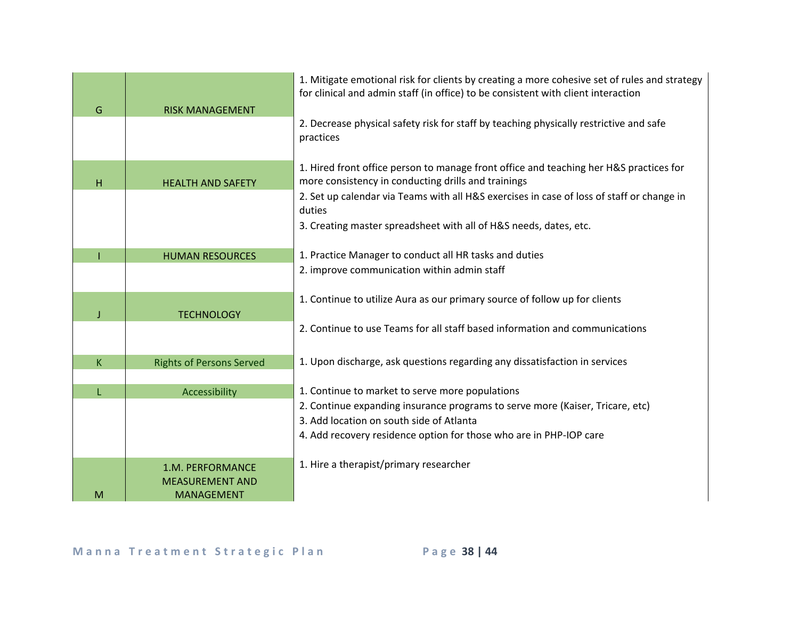| G | <b>RISK MANAGEMENT</b>                                          | 1. Mitigate emotional risk for clients by creating a more cohesive set of rules and strategy<br>for clinical and admin staff (in office) to be consistent with client interaction |
|---|-----------------------------------------------------------------|-----------------------------------------------------------------------------------------------------------------------------------------------------------------------------------|
|   |                                                                 | 2. Decrease physical safety risk for staff by teaching physically restrictive and safe<br>practices                                                                               |
| н | <b>HEALTH AND SAFETY</b>                                        | 1. Hired front office person to manage front office and teaching her H&S practices for<br>more consistency in conducting drills and trainings                                     |
|   |                                                                 | 2. Set up calendar via Teams with all H&S exercises in case of loss of staff or change in<br>duties                                                                               |
|   |                                                                 | 3. Creating master spreadsheet with all of H&S needs, dates, etc.                                                                                                                 |
|   | <b>HUMAN RESOURCES</b>                                          | 1. Practice Manager to conduct all HR tasks and duties                                                                                                                            |
|   |                                                                 | 2. improve communication within admin staff                                                                                                                                       |
|   | <b>TECHNOLOGY</b>                                               | 1. Continue to utilize Aura as our primary source of follow up for clients                                                                                                        |
|   |                                                                 | 2. Continue to use Teams for all staff based information and communications                                                                                                       |
| K | <b>Rights of Persons Served</b>                                 | 1. Upon discharge, ask questions regarding any dissatisfaction in services                                                                                                        |
|   | Accessibility                                                   | 1. Continue to market to serve more populations                                                                                                                                   |
|   |                                                                 | 2. Continue expanding insurance programs to serve more (Kaiser, Tricare, etc)                                                                                                     |
|   |                                                                 | 3. Add location on south side of Atlanta                                                                                                                                          |
|   |                                                                 | 4. Add recovery residence option for those who are in PHP-IOP care                                                                                                                |
| M | 1.M. PERFORMANCE<br><b>MEASUREMENT AND</b><br><b>MANAGEMENT</b> | 1. Hire a therapist/primary researcher                                                                                                                                            |

Manna Treatment Strategic Plan Page 38 | 44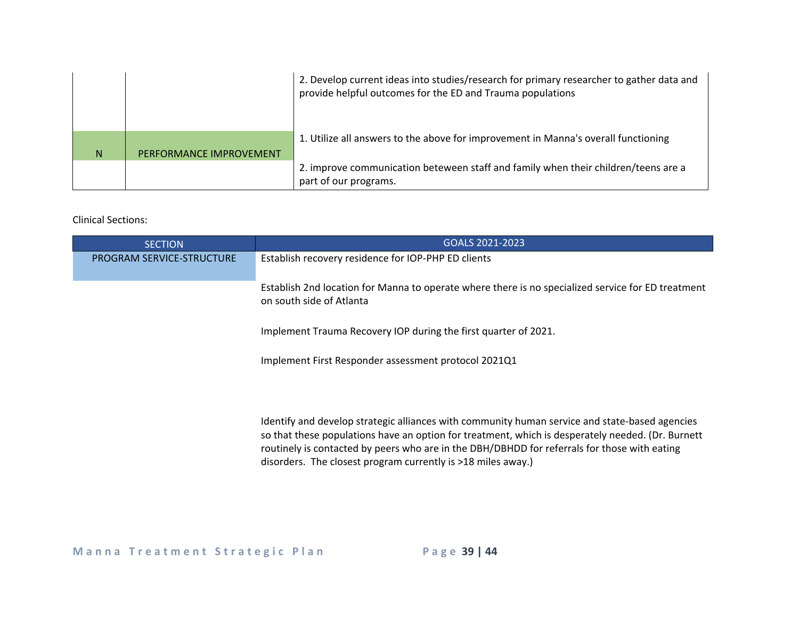|   |                         | 2. Develop current ideas into studies/research for primary researcher to gather data and<br>provide helpful outcomes for the ED and Trauma populations |
|---|-------------------------|--------------------------------------------------------------------------------------------------------------------------------------------------------|
| N | PERFORMANCE IMPROVEMENT | 1. Utilize all answers to the above for improvement in Manna's overall functioning                                                                     |
|   |                         | 2. improve communication beteween staff and family when their children/teens are a<br>part of our programs.                                            |

### Clinical Sections:

| <b>SECTION</b>                   | GOALS 2021-2023                                                                                                                                                                                                                                                                                                                                                     |
|----------------------------------|---------------------------------------------------------------------------------------------------------------------------------------------------------------------------------------------------------------------------------------------------------------------------------------------------------------------------------------------------------------------|
| <b>PROGRAM SERVICE-STRUCTURE</b> | Establish recovery residence for IOP-PHP ED clients                                                                                                                                                                                                                                                                                                                 |
|                                  | Establish 2nd location for Manna to operate where there is no specialized service for ED treatment<br>on south side of Atlanta                                                                                                                                                                                                                                      |
|                                  | Implement Trauma Recovery IOP during the first quarter of 2021.                                                                                                                                                                                                                                                                                                     |
|                                  | Implement First Responder assessment protocol 2021Q1                                                                                                                                                                                                                                                                                                                |
|                                  | Identify and develop strategic alliances with community human service and state-based agencies<br>so that these populations have an option for treatment, which is desperately needed. (Dr. Burnett<br>routinely is contacted by peers who are in the DBH/DBHDD for referrals for those with eating<br>disorders. The closest program currently is >18 miles away.) |

Manna Treatment Strategic Plan Page 39 | 44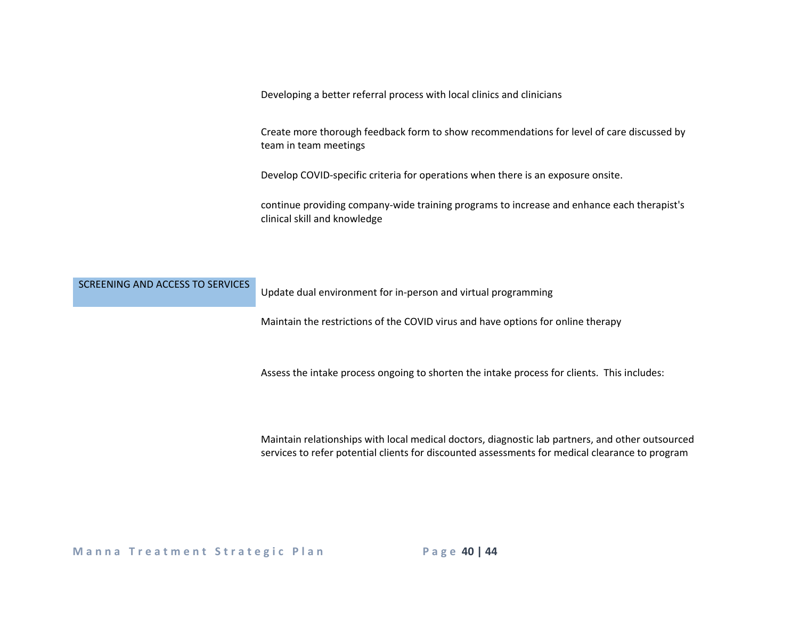Developing a better referral process with local clinics and clinicians

Create more thorough feedback form to show recommendations for level of care discussed by team in team meetings

Develop COVID-specific criteria for operations when there is an exposure onsite.

continue providing company-wide training programs to increase and enhance each therapist's clinical skill and knowledge

| SCREENING AND ACCESS TO SERVICES | Update dual environment for in-person and virtual programming |
|----------------------------------|---------------------------------------------------------------|
|                                  |                                                               |

Maintain the restrictions of the COVID virus and have options for online therapy

Assess the intake process ongoing to shorten the intake process for clients. This includes:

Maintain relationships with local medical doctors, diagnostic lab partners, and other outsourced services to refer potential clients for discounted assessments for medical clearance to program

**Manna Treatment Strategic Plan Page 40 | 44**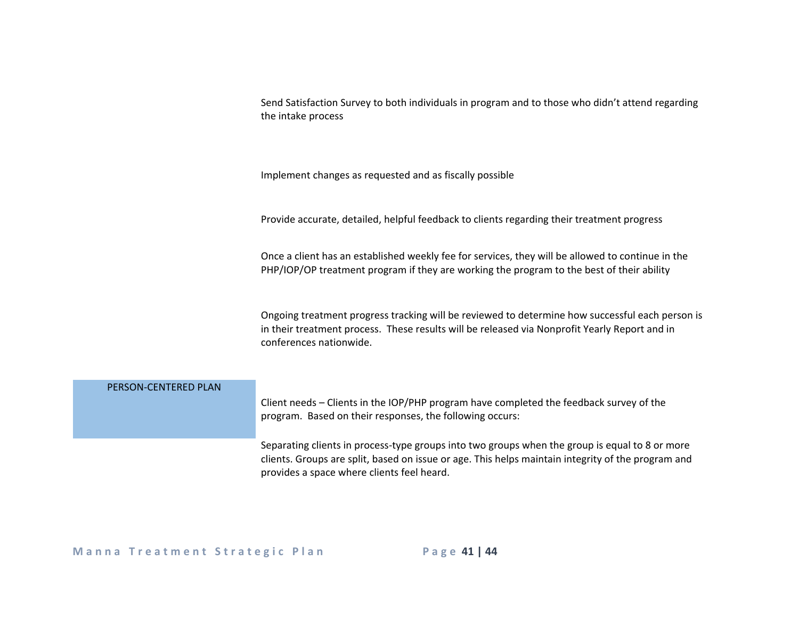|                      | Send Satisfaction Survey to both individuals in program and to those who didn't attend regarding<br>the intake process                                                                                                                             |
|----------------------|----------------------------------------------------------------------------------------------------------------------------------------------------------------------------------------------------------------------------------------------------|
|                      | Implement changes as requested and as fiscally possible                                                                                                                                                                                            |
|                      | Provide accurate, detailed, helpful feedback to clients regarding their treatment progress                                                                                                                                                         |
|                      | Once a client has an established weekly fee for services, they will be allowed to continue in the<br>PHP/IOP/OP treatment program if they are working the program to the best of their ability                                                     |
|                      | Ongoing treatment progress tracking will be reviewed to determine how successful each person is<br>in their treatment process. These results will be released via Nonprofit Yearly Report and in<br>conferences nationwide.                        |
| PERSON-CENTERED PLAN |                                                                                                                                                                                                                                                    |
|                      | Client needs - Clients in the IOP/PHP program have completed the feedback survey of the<br>program. Based on their responses, the following occurs:                                                                                                |
|                      | Separating clients in process-type groups into two groups when the group is equal to 8 or more<br>clients. Groups are split, based on issue or age. This helps maintain integrity of the program and<br>provides a space where clients feel heard. |

## Manna Treatment Strategic Plan Page 41 | 44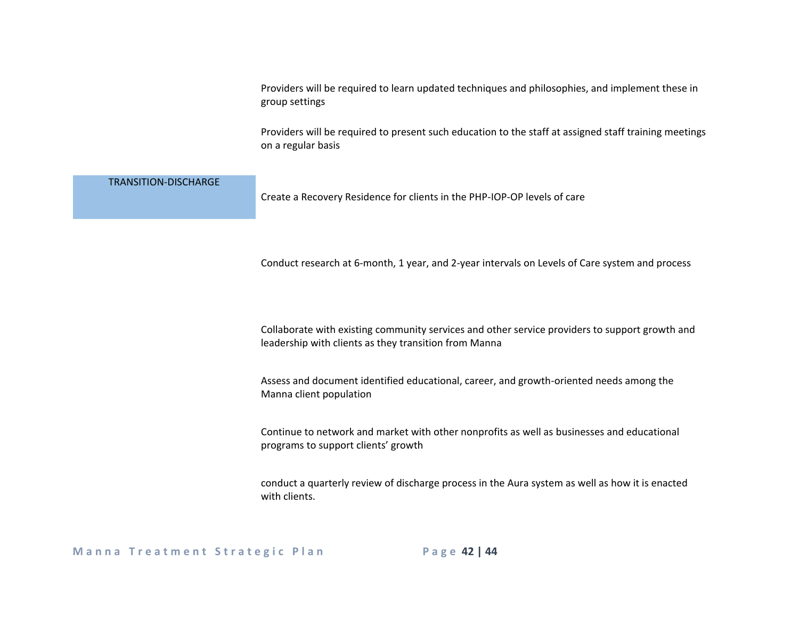Providers will be required to learn updated techniques and philosophies, and implement these in group settings

Providers will be required to present such education to the staff at assigned staff training meetings on a regular basis

| <b>TRANSITION-DISCHARGE</b> | Create a Recovery Residence for clients in the PHP-IOP-OP levels of care                                                                                |
|-----------------------------|---------------------------------------------------------------------------------------------------------------------------------------------------------|
|                             | Conduct research at 6-month, 1 year, and 2-year intervals on Levels of Care system and process                                                          |
|                             | Collaborate with existing community services and other service providers to support growth and<br>leadership with clients as they transition from Manna |
|                             | Assess and document identified educational, career, and growth-oriented needs among the<br>Manna client population                                      |
|                             | Continue to network and market with other nonprofits as well as businesses and educational<br>programs to support clients' growth                       |
|                             | conduct a quarterly review of discharge process in the Aura system as well as how it is enacted<br>with clients.                                        |

**Manna Treatment Strategic Plan Page 42 | 44**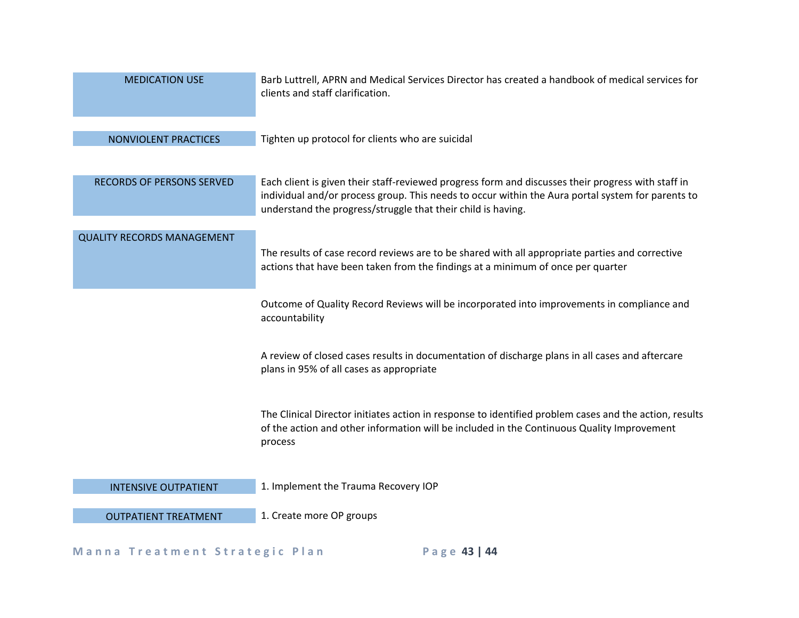| <b>MEDICATION USE</b>             | Barb Luttrell, APRN and Medical Services Director has created a handbook of medical services for<br>clients and staff clarification.                                                                                                                                    |
|-----------------------------------|-------------------------------------------------------------------------------------------------------------------------------------------------------------------------------------------------------------------------------------------------------------------------|
| NONVIOLENT PRACTICES              | Tighten up protocol for clients who are suicidal                                                                                                                                                                                                                        |
| <b>RECORDS OF PERSONS SERVED</b>  | Each client is given their staff-reviewed progress form and discusses their progress with staff in<br>individual and/or process group. This needs to occur within the Aura portal system for parents to<br>understand the progress/struggle that their child is having. |
| <b>QUALITY RECORDS MANAGEMENT</b> | The results of case record reviews are to be shared with all appropriate parties and corrective<br>actions that have been taken from the findings at a minimum of once per quarter                                                                                      |
|                                   | Outcome of Quality Record Reviews will be incorporated into improvements in compliance and<br>accountability                                                                                                                                                            |
|                                   | A review of closed cases results in documentation of discharge plans in all cases and aftercare<br>plans in 95% of all cases as appropriate                                                                                                                             |
|                                   | The Clinical Director initiates action in response to identified problem cases and the action, results<br>of the action and other information will be included in the Continuous Quality Improvement<br>process                                                         |
| <b>INTENSIVE OUTPATIENT</b>       | 1. Implement the Trauma Recovery IOP                                                                                                                                                                                                                                    |
| <b>OUTPATIENT TREATMENT</b>       | 1. Create more OP groups                                                                                                                                                                                                                                                |

## Manna Treatment Strategic Plan Page 43 | 44